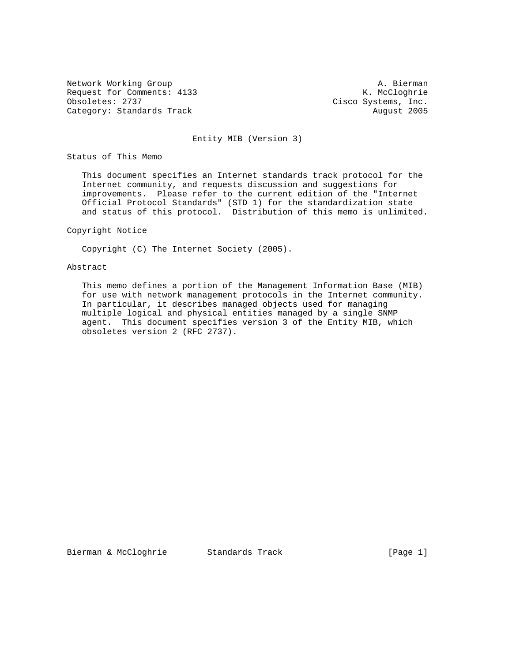Network Working Group and Marketing A. Bierman and Marketing A. Bierman and A. Bierman and Marketing A. Bierman Request for Comments: 4133<br>Obsoletes: 2737 Category: Standards Track

Cisco Systems, Inc.<br>August 2005

#### Entity MIB (Version 3)

Status of This Memo

 This document specifies an Internet standards track protocol for the Internet community, and requests discussion and suggestions for improvements. Please refer to the current edition of the "Internet Official Protocol Standards" (STD 1) for the standardization state and status of this protocol. Distribution of this memo is unlimited.

### Copyright Notice

Copyright (C) The Internet Society (2005).

#### Abstract

 This memo defines a portion of the Management Information Base (MIB) for use with network management protocols in the Internet community. In particular, it describes managed objects used for managing multiple logical and physical entities managed by a single SNMP agent. This document specifies version 3 of the Entity MIB, which obsoletes version 2 (RFC 2737).

Bierman & McCloghrie Standards Track [Page 1]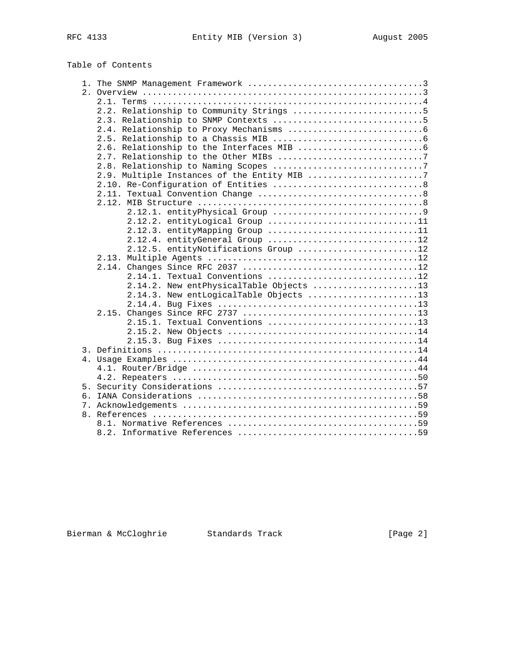# Table of Contents

|    | 2.2. Relationship to Community Strings 5    |
|----|---------------------------------------------|
|    |                                             |
|    |                                             |
|    |                                             |
|    |                                             |
|    |                                             |
|    |                                             |
|    | 2.9. Multiple Instances of the Entity MIB 7 |
|    |                                             |
|    |                                             |
|    |                                             |
|    |                                             |
|    | 2.12.2. entityLogical Group 11              |
|    | 2.12.3. entityMapping Group 11              |
|    | 2.12.4. entityGeneral Group 12              |
|    | 2.12.5. entityNotifications Group 12        |
|    | 2.13.                                       |
|    |                                             |
|    | 2.14.1. Textual Conventions 12              |
|    | 2.14.2. New entPhysicalTable Objects 13     |
|    | 2.14.3. New entLogicalTable Objects 13      |
|    |                                             |
|    |                                             |
|    | 2.15.1. Textual Conventions 13              |
|    |                                             |
|    |                                             |
|    |                                             |
|    |                                             |
|    |                                             |
|    |                                             |
|    |                                             |
| б. |                                             |
|    |                                             |
|    |                                             |
|    |                                             |
|    |                                             |

Bierman & McCloghrie Standards Track (Page 2)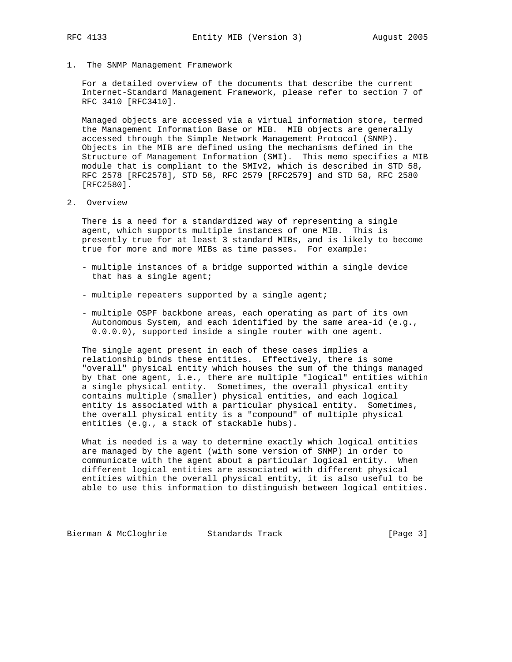1. The SNMP Management Framework

 For a detailed overview of the documents that describe the current Internet-Standard Management Framework, please refer to section 7 of RFC 3410 [RFC3410].

 Managed objects are accessed via a virtual information store, termed the Management Information Base or MIB. MIB objects are generally accessed through the Simple Network Management Protocol (SNMP). Objects in the MIB are defined using the mechanisms defined in the Structure of Management Information (SMI). This memo specifies a MIB module that is compliant to the SMIv2, which is described in STD 58, RFC 2578 [RFC2578], STD 58, RFC 2579 [RFC2579] and STD 58, RFC 2580 [RFC2580].

2. Overview

 There is a need for a standardized way of representing a single agent, which supports multiple instances of one MIB. This is presently true for at least 3 standard MIBs, and is likely to become true for more and more MIBs as time passes. For example:

- multiple instances of a bridge supported within a single device that has a single agent;
- multiple repeaters supported by a single agent;
- multiple OSPF backbone areas, each operating as part of its own Autonomous System, and each identified by the same area-id (e.g., 0.0.0.0), supported inside a single router with one agent.

 The single agent present in each of these cases implies a relationship binds these entities. Effectively, there is some "overall" physical entity which houses the sum of the things managed by that one agent, i.e., there are multiple "logical" entities within a single physical entity. Sometimes, the overall physical entity contains multiple (smaller) physical entities, and each logical entity is associated with a particular physical entity. Sometimes, the overall physical entity is a "compound" of multiple physical entities (e.g., a stack of stackable hubs).

 What is needed is a way to determine exactly which logical entities are managed by the agent (with some version of SNMP) in order to communicate with the agent about a particular logical entity. When different logical entities are associated with different physical entities within the overall physical entity, it is also useful to be able to use this information to distinguish between logical entities.

Bierman & McCloghrie Standards Track [Page 3]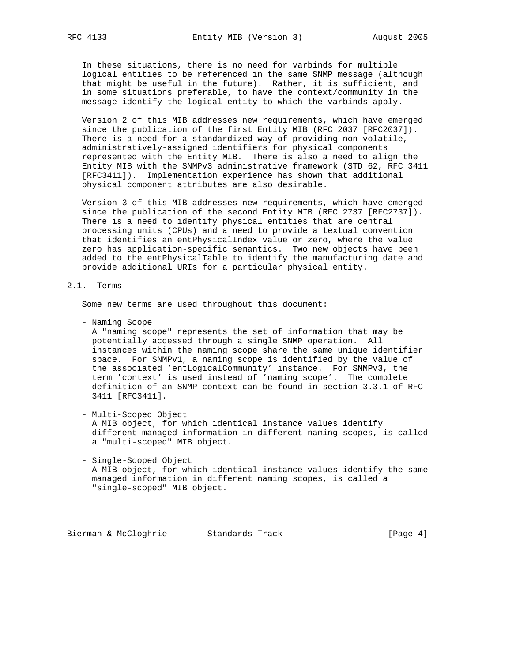In these situations, there is no need for varbinds for multiple logical entities to be referenced in the same SNMP message (although that might be useful in the future). Rather, it is sufficient, and in some situations preferable, to have the context/community in the message identify the logical entity to which the varbinds apply.

 Version 2 of this MIB addresses new requirements, which have emerged since the publication of the first Entity MIB (RFC 2037 [RFC2037]). There is a need for a standardized way of providing non-volatile, administratively-assigned identifiers for physical components represented with the Entity MIB. There is also a need to align the Entity MIB with the SNMPv3 administrative framework (STD 62, RFC 3411 [RFC3411]). Implementation experience has shown that additional physical component attributes are also desirable.

 Version 3 of this MIB addresses new requirements, which have emerged since the publication of the second Entity MIB (RFC 2737 [RFC2737]). There is a need to identify physical entities that are central processing units (CPUs) and a need to provide a textual convention that identifies an entPhysicalIndex value or zero, where the value zero has application-specific semantics. Two new objects have been added to the entPhysicalTable to identify the manufacturing date and provide additional URIs for a particular physical entity.

# 2.1. Terms

Some new terms are used throughout this document:

- Naming Scope

 A "naming scope" represents the set of information that may be potentially accessed through a single SNMP operation. All instances within the naming scope share the same unique identifier space. For SNMPv1, a naming scope is identified by the value of the associated 'entLogicalCommunity' instance. For SNMPv3, the term 'context' is used instead of 'naming scope'. The complete definition of an SNMP context can be found in section 3.3.1 of RFC 3411 [RFC3411].

- Multi-Scoped Object

 A MIB object, for which identical instance values identify different managed information in different naming scopes, is called a "multi-scoped" MIB object.

 - Single-Scoped Object A MIB object, for which identical instance values identify the same managed information in different naming scopes, is called a "single-scoped" MIB object.

Bierman & McCloghrie Standards Track [Page 4]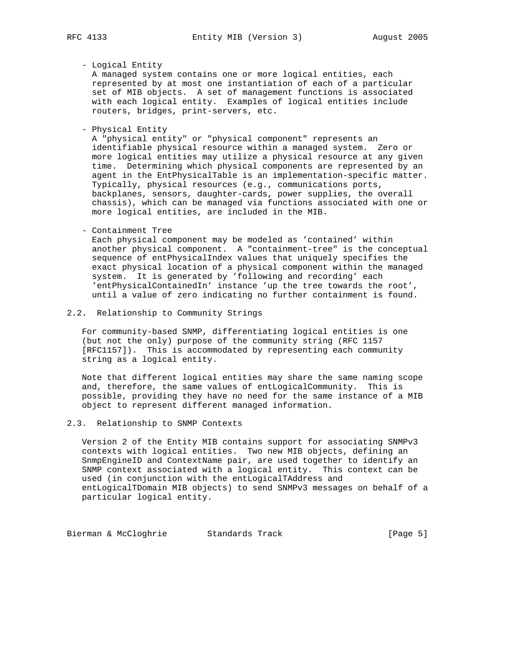- Logical Entity

 A managed system contains one or more logical entities, each represented by at most one instantiation of each of a particular set of MIB objects. A set of management functions is associated with each logical entity. Examples of logical entities include routers, bridges, print-servers, etc.

- Physical Entity

 A "physical entity" or "physical component" represents an identifiable physical resource within a managed system. Zero or more logical entities may utilize a physical resource at any given time. Determining which physical components are represented by an agent in the EntPhysicalTable is an implementation-specific matter. Typically, physical resources (e.g., communications ports, backplanes, sensors, daughter-cards, power supplies, the overall chassis), which can be managed via functions associated with one or more logical entities, are included in the MIB.

#### - Containment Tree

 Each physical component may be modeled as 'contained' within another physical component. A "containment-tree" is the conceptual sequence of entPhysicalIndex values that uniquely specifies the exact physical location of a physical component within the managed system. It is generated by 'following and recording' each 'entPhysicalContainedIn' instance 'up the tree towards the root', until a value of zero indicating no further containment is found.

### 2.2. Relationship to Community Strings

 For community-based SNMP, differentiating logical entities is one (but not the only) purpose of the community string (RFC 1157 [RFC1157]). This is accommodated by representing each community string as a logical entity.

 Note that different logical entities may share the same naming scope and, therefore, the same values of entLogicalCommunity. This is possible, providing they have no need for the same instance of a MIB object to represent different managed information.

## 2.3. Relationship to SNMP Contexts

 Version 2 of the Entity MIB contains support for associating SNMPv3 contexts with logical entities. Two new MIB objects, defining an SnmpEngineID and ContextName pair, are used together to identify an SNMP context associated with a logical entity. This context can be used (in conjunction with the entLogicalTAddress and entLogicalTDomain MIB objects) to send SNMPv3 messages on behalf of a particular logical entity.

Bierman & McCloghrie Standards Track (Page 5)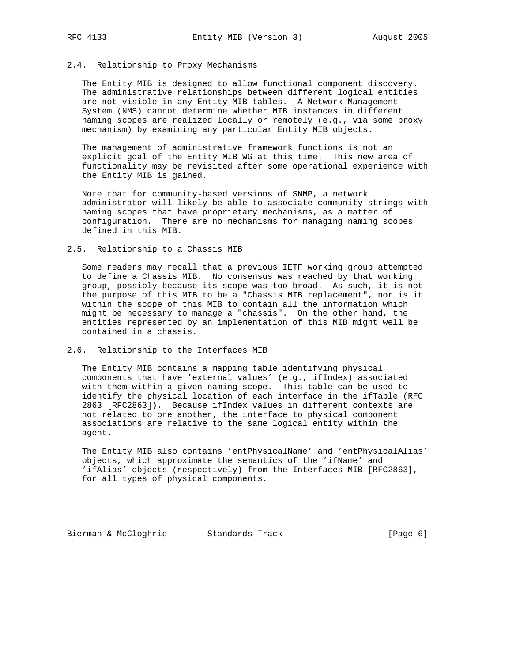# 2.4. Relationship to Proxy Mechanisms

 The Entity MIB is designed to allow functional component discovery. The administrative relationships between different logical entities are not visible in any Entity MIB tables. A Network Management System (NMS) cannot determine whether MIB instances in different naming scopes are realized locally or remotely (e.g., via some proxy mechanism) by examining any particular Entity MIB objects.

 The management of administrative framework functions is not an explicit goal of the Entity MIB WG at this time. This new area of functionality may be revisited after some operational experience with the Entity MIB is gained.

 Note that for community-based versions of SNMP, a network administrator will likely be able to associate community strings with naming scopes that have proprietary mechanisms, as a matter of configuration. There are no mechanisms for managing naming scopes defined in this MIB.

#### 2.5. Relationship to a Chassis MIB

 Some readers may recall that a previous IETF working group attempted to define a Chassis MIB. No consensus was reached by that working group, possibly because its scope was too broad. As such, it is not the purpose of this MIB to be a "Chassis MIB replacement", nor is it within the scope of this MIB to contain all the information which might be necessary to manage a "chassis". On the other hand, the entities represented by an implementation of this MIB might well be contained in a chassis.

## 2.6. Relationship to the Interfaces MIB

 The Entity MIB contains a mapping table identifying physical components that have 'external values' (e.g., ifIndex) associated with them within a given naming scope. This table can be used to identify the physical location of each interface in the ifTable (RFC 2863 [RFC2863]). Because ifIndex values in different contexts are not related to one another, the interface to physical component associations are relative to the same logical entity within the agent.

 The Entity MIB also contains 'entPhysicalName' and 'entPhysicalAlias' objects, which approximate the semantics of the 'ifName' and 'ifAlias' objects (respectively) from the Interfaces MIB [RFC2863], for all types of physical components.

Bierman & McCloghrie Standards Track [Page 6]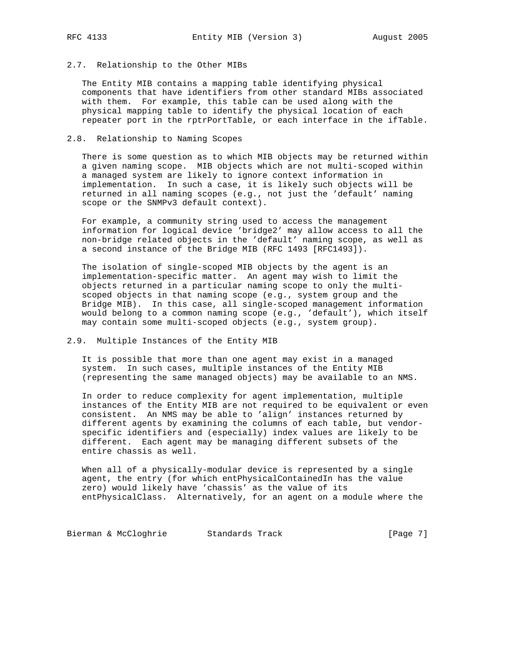# 2.7. Relationship to the Other MIBs

 The Entity MIB contains a mapping table identifying physical components that have identifiers from other standard MIBs associated with them. For example, this table can be used along with the physical mapping table to identify the physical location of each repeater port in the rptrPortTable, or each interface in the ifTable.

## 2.8. Relationship to Naming Scopes

 There is some question as to which MIB objects may be returned within a given naming scope. MIB objects which are not multi-scoped within a managed system are likely to ignore context information in implementation. In such a case, it is likely such objects will be returned in all naming scopes (e.g., not just the 'default' naming scope or the SNMPv3 default context).

 For example, a community string used to access the management information for logical device 'bridge2' may allow access to all the non-bridge related objects in the 'default' naming scope, as well as a second instance of the Bridge MIB (RFC 1493 [RFC1493]).

 The isolation of single-scoped MIB objects by the agent is an implementation-specific matter. An agent may wish to limit the objects returned in a particular naming scope to only the multi scoped objects in that naming scope (e.g., system group and the Bridge MIB). In this case, all single-scoped management information would belong to a common naming scope (e.g., 'default'), which itself may contain some multi-scoped objects (e.g., system group).

# 2.9. Multiple Instances of the Entity MIB

 It is possible that more than one agent may exist in a managed system. In such cases, multiple instances of the Entity MIB (representing the same managed objects) may be available to an NMS.

 In order to reduce complexity for agent implementation, multiple instances of the Entity MIB are not required to be equivalent or even consistent. An NMS may be able to 'align' instances returned by different agents by examining the columns of each table, but vendor specific identifiers and (especially) index values are likely to be different. Each agent may be managing different subsets of the entire chassis as well.

 When all of a physically-modular device is represented by a single agent, the entry (for which entPhysicalContainedIn has the value zero) would likely have 'chassis' as the value of its entPhysicalClass. Alternatively, for an agent on a module where the

Bierman & McCloghrie Standards Track [Page 7]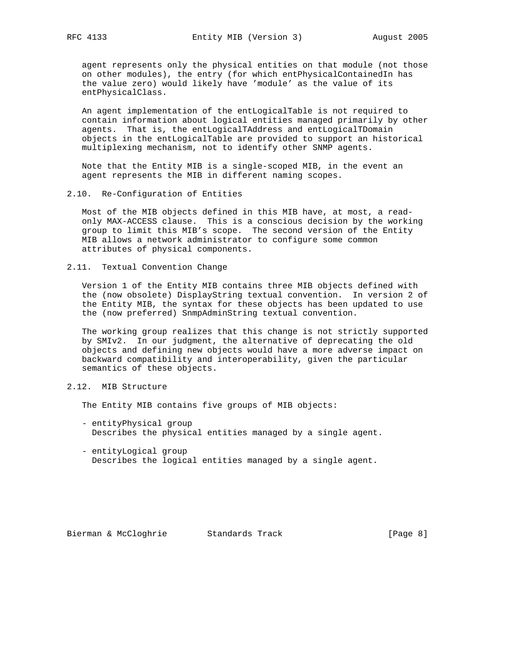agent represents only the physical entities on that module (not those on other modules), the entry (for which entPhysicalContainedIn has the value zero) would likely have 'module' as the value of its entPhysicalClass.

 An agent implementation of the entLogicalTable is not required to contain information about logical entities managed primarily by other agents. That is, the entLogicalTAddress and entLogicalTDomain objects in the entLogicalTable are provided to support an historical multiplexing mechanism, not to identify other SNMP agents.

 Note that the Entity MIB is a single-scoped MIB, in the event an agent represents the MIB in different naming scopes.

2.10. Re-Configuration of Entities

 Most of the MIB objects defined in this MIB have, at most, a read only MAX-ACCESS clause. This is a conscious decision by the working group to limit this MIB's scope. The second version of the Entity MIB allows a network administrator to configure some common attributes of physical components.

2.11. Textual Convention Change

 Version 1 of the Entity MIB contains three MIB objects defined with the (now obsolete) DisplayString textual convention. In version 2 of the Entity MIB, the syntax for these objects has been updated to use the (now preferred) SnmpAdminString textual convention.

 The working group realizes that this change is not strictly supported by SMIv2. In our judgment, the alternative of deprecating the old objects and defining new objects would have a more adverse impact on backward compatibility and interoperability, given the particular semantics of these objects.

# 2.12. MIB Structure

The Entity MIB contains five groups of MIB objects:

- entityPhysical group Describes the physical entities managed by a single agent.
- entityLogical group Describes the logical entities managed by a single agent.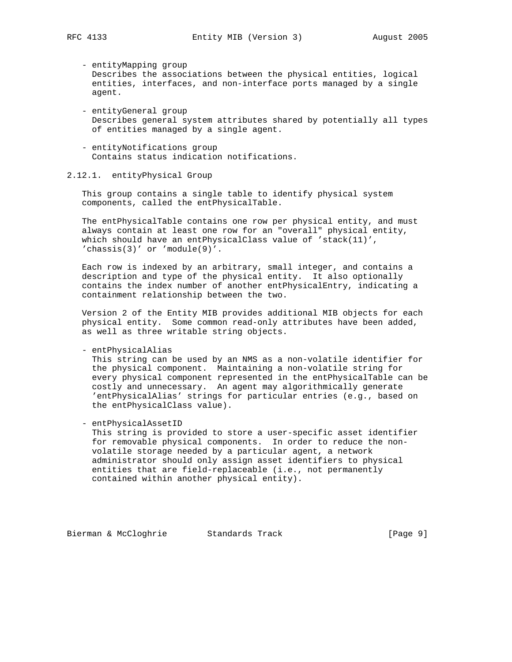- entityMapping group Describes the associations between the physical entities, logical entities, interfaces, and non-interface ports managed by a single agent.

- entityGeneral group Describes general system attributes shared by potentially all types of entities managed by a single agent.
- entityNotifications group Contains status indication notifications.

## 2.12.1. entityPhysical Group

 This group contains a single table to identify physical system components, called the entPhysicalTable.

 The entPhysicalTable contains one row per physical entity, and must always contain at least one row for an "overall" physical entity, which should have an entPhysicalClass value of 'stack(11)', 'chassis(3)' or 'module(9)'.

 Each row is indexed by an arbitrary, small integer, and contains a description and type of the physical entity. It also optionally contains the index number of another entPhysicalEntry, indicating a containment relationship between the two.

 Version 2 of the Entity MIB provides additional MIB objects for each physical entity. Some common read-only attributes have been added, as well as three writable string objects.

#### - entPhysicalAlias

 This string can be used by an NMS as a non-volatile identifier for the physical component. Maintaining a non-volatile string for every physical component represented in the entPhysicalTable can be costly and unnecessary. An agent may algorithmically generate 'entPhysicalAlias' strings for particular entries (e.g., based on the entPhysicalClass value).

- entPhysicalAssetID

 This string is provided to store a user-specific asset identifier for removable physical components. In order to reduce the non volatile storage needed by a particular agent, a network administrator should only assign asset identifiers to physical entities that are field-replaceable (i.e., not permanently contained within another physical entity).

Bierman & McCloghrie Standards Track [Page 9]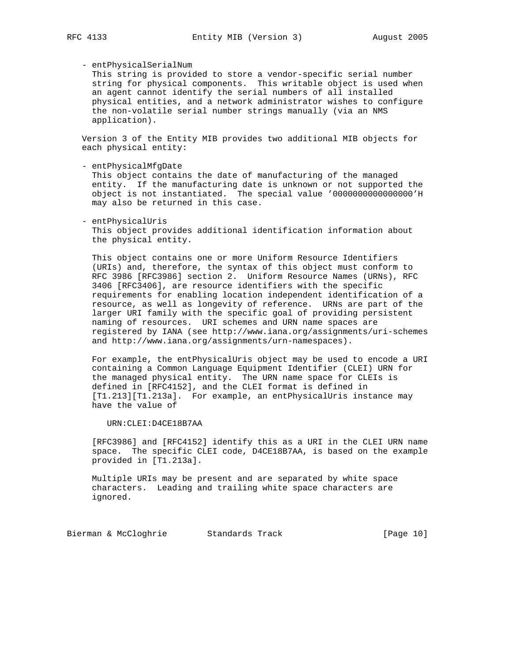# - entPhysicalSerialNum

 This string is provided to store a vendor-specific serial number string for physical components. This writable object is used when an agent cannot identify the serial numbers of all installed physical entities, and a network administrator wishes to configure the non-volatile serial number strings manually (via an NMS application).

 Version 3 of the Entity MIB provides two additional MIB objects for each physical entity:

- entPhysicalMfgDate

 This object contains the date of manufacturing of the managed entity. If the manufacturing date is unknown or not supported the object is not instantiated. The special value '0000000000000000'H may also be returned in this case.

 - entPhysicalUris This object provides additional identification information about the physical entity.

 This object contains one or more Uniform Resource Identifiers (URIs) and, therefore, the syntax of this object must conform to RFC 3986 [RFC3986] section 2. Uniform Resource Names (URNs), RFC 3406 [RFC3406], are resource identifiers with the specific requirements for enabling location independent identification of a resource, as well as longevity of reference. URNs are part of the larger URI family with the specific goal of providing persistent naming of resources. URI schemes and URN name spaces are registered by IANA (see http://www.iana.org/assignments/uri-schemes and http://www.iana.org/assignments/urn-namespaces).

 For example, the entPhysicalUris object may be used to encode a URI containing a Common Language Equipment Identifier (CLEI) URN for the managed physical entity. The URN name space for CLEIs is defined in [RFC4152], and the CLEI format is defined in [T1.213][T1.213a]. For example, an entPhysicalUris instance may have the value of

URN:CLEI:D4CE18B7AA

 [RFC3986] and [RFC4152] identify this as a URI in the CLEI URN name space. The specific CLEI code, D4CE18B7AA, is based on the example provided in [T1.213a].

 Multiple URIs may be present and are separated by white space characters. Leading and trailing white space characters are ignored.

Bierman & McCloghrie Standards Track [Page 10]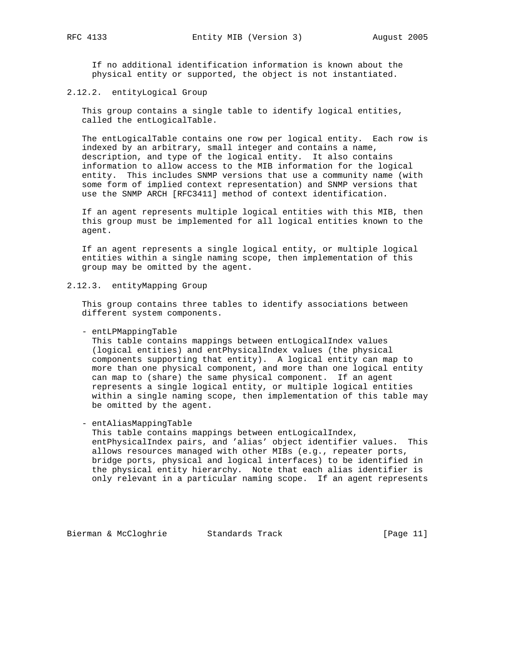If no additional identification information is known about the physical entity or supported, the object is not instantiated.

2.12.2. entityLogical Group

 This group contains a single table to identify logical entities, called the entLogicalTable.

 The entLogicalTable contains one row per logical entity. Each row is indexed by an arbitrary, small integer and contains a name, description, and type of the logical entity. It also contains information to allow access to the MIB information for the logical entity. This includes SNMP versions that use a community name (with some form of implied context representation) and SNMP versions that use the SNMP ARCH [RFC3411] method of context identification.

 If an agent represents multiple logical entities with this MIB, then this group must be implemented for all logical entities known to the agent.

 If an agent represents a single logical entity, or multiple logical entities within a single naming scope, then implementation of this group may be omitted by the agent.

2.12.3. entityMapping Group

 This group contains three tables to identify associations between different system components.

- entLPMappingTable

 This table contains mappings between entLogicalIndex values (logical entities) and entPhysicalIndex values (the physical components supporting that entity). A logical entity can map to more than one physical component, and more than one logical entity can map to (share) the same physical component. If an agent represents a single logical entity, or multiple logical entities within a single naming scope, then implementation of this table may be omitted by the agent.

- entAliasMappingTable

 This table contains mappings between entLogicalIndex, entPhysicalIndex pairs, and 'alias' object identifier values. This allows resources managed with other MIBs (e.g., repeater ports, bridge ports, physical and logical interfaces) to be identified in the physical entity hierarchy. Note that each alias identifier is only relevant in a particular naming scope. If an agent represents

Bierman & McCloghrie Standards Track [Page 11]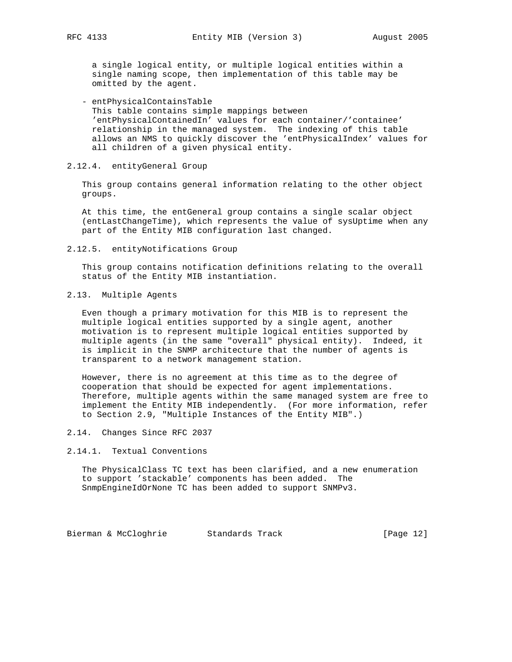a single logical entity, or multiple logical entities within a single naming scope, then implementation of this table may be omitted by the agent.

 - entPhysicalContainsTable This table contains simple mappings between 'entPhysicalContainedIn' values for each container/'containee' relationship in the managed system. The indexing of this table allows an NMS to quickly discover the 'entPhysicalIndex' values for all children of a given physical entity.

#### 2.12.4. entityGeneral Group

 This group contains general information relating to the other object groups.

 At this time, the entGeneral group contains a single scalar object (entLastChangeTime), which represents the value of sysUptime when any part of the Entity MIB configuration last changed.

#### 2.12.5. entityNotifications Group

 This group contains notification definitions relating to the overall status of the Entity MIB instantiation.

## 2.13. Multiple Agents

 Even though a primary motivation for this MIB is to represent the multiple logical entities supported by a single agent, another motivation is to represent multiple logical entities supported by multiple agents (in the same "overall" physical entity). Indeed, it is implicit in the SNMP architecture that the number of agents is transparent to a network management station.

 However, there is no agreement at this time as to the degree of cooperation that should be expected for agent implementations. Therefore, multiple agents within the same managed system are free to implement the Entity MIB independently. (For more information, refer to Section 2.9, "Multiple Instances of the Entity MIB".)

# 2.14. Changes Since RFC 2037

#### 2.14.1. Textual Conventions

 The PhysicalClass TC text has been clarified, and a new enumeration to support 'stackable' components has been added. The SnmpEngineIdOrNone TC has been added to support SNMPv3.

Bierman & McCloghrie Standards Track [Page 12]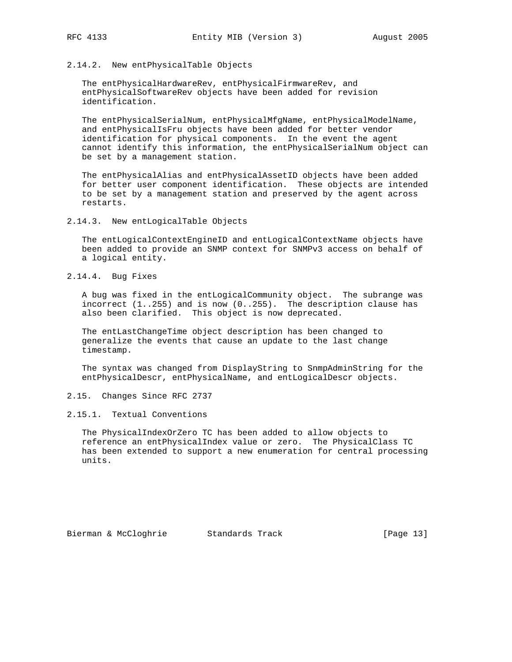#### 2.14.2. New entPhysicalTable Objects

 The entPhysicalHardwareRev, entPhysicalFirmwareRev, and entPhysicalSoftwareRev objects have been added for revision identification.

 The entPhysicalSerialNum, entPhysicalMfgName, entPhysicalModelName, and entPhysicalIsFru objects have been added for better vendor identification for physical components. In the event the agent cannot identify this information, the entPhysicalSerialNum object can be set by a management station.

 The entPhysicalAlias and entPhysicalAssetID objects have been added for better user component identification. These objects are intended to be set by a management station and preserved by the agent across restarts.

2.14.3. New entLogicalTable Objects

 The entLogicalContextEngineID and entLogicalContextName objects have been added to provide an SNMP context for SNMPv3 access on behalf of a logical entity.

2.14.4. Bug Fixes

 A bug was fixed in the entLogicalCommunity object. The subrange was incorrect (1..255) and is now (0..255). The description clause has also been clarified. This object is now deprecated.

 The entLastChangeTime object description has been changed to generalize the events that cause an update to the last change timestamp.

 The syntax was changed from DisplayString to SnmpAdminString for the entPhysicalDescr, entPhysicalName, and entLogicalDescr objects.

2.15. Changes Since RFC 2737

2.15.1. Textual Conventions

 The PhysicalIndexOrZero TC has been added to allow objects to reference an entPhysicalIndex value or zero. The PhysicalClass TC has been extended to support a new enumeration for central processing units.

Bierman & McCloghrie Standards Track [Page 13]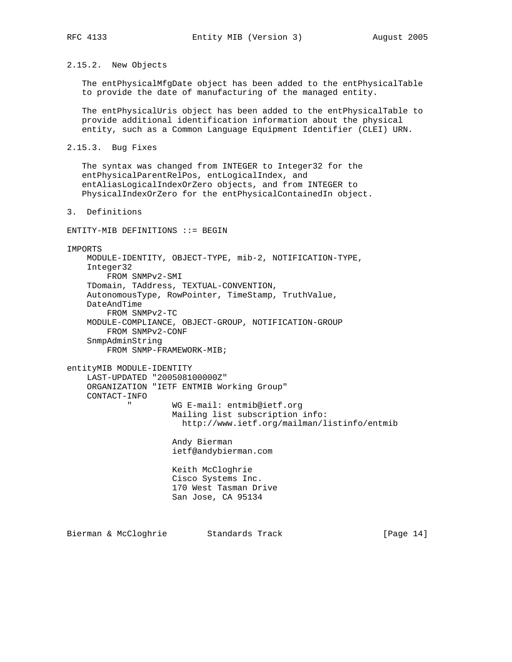2.15.2. New Objects

 The entPhysicalMfgDate object has been added to the entPhysicalTable to provide the date of manufacturing of the managed entity.

 The entPhysicalUris object has been added to the entPhysicalTable to provide additional identification information about the physical entity, such as a Common Language Equipment Identifier (CLEI) URN.

```
2.15.3. Bug Fixes
```
 The syntax was changed from INTEGER to Integer32 for the entPhysicalParentRelPos, entLogicalIndex, and entAliasLogicalIndexOrZero objects, and from INTEGER to PhysicalIndexOrZero for the entPhysicalContainedIn object.

3. Definitions

ENTITY-MIB DEFINITIONS ::= BEGIN

#### IMPORTS

 MODULE-IDENTITY, OBJECT-TYPE, mib-2, NOTIFICATION-TYPE, Integer32 FROM SNMPv2-SMI TDomain, TAddress, TEXTUAL-CONVENTION, AutonomousType, RowPointer, TimeStamp, TruthValue, DateAndTime FROM SNMPv2-TC MODULE-COMPLIANCE, OBJECT-GROUP, NOTIFICATION-GROUP FROM SNMPv2-CONF SnmpAdminString FROM SNMP-FRAMEWORK-MIB;

entityMIB MODULE-IDENTITY

```
 LAST-UPDATED "200508100000Z"
 ORGANIZATION "IETF ENTMIB Working Group"
 CONTACT-INFO
        " WG E-mail: entmib@ietf.org
                 Mailing list subscription info:
                   http://www.ietf.org/mailman/listinfo/entmib
```
 Andy Bierman ietf@andybierman.com

 Keith McCloghrie Cisco Systems Inc. 170 West Tasman Drive San Jose, CA 95134

Bierman & McCloghrie Standards Track [Page 14]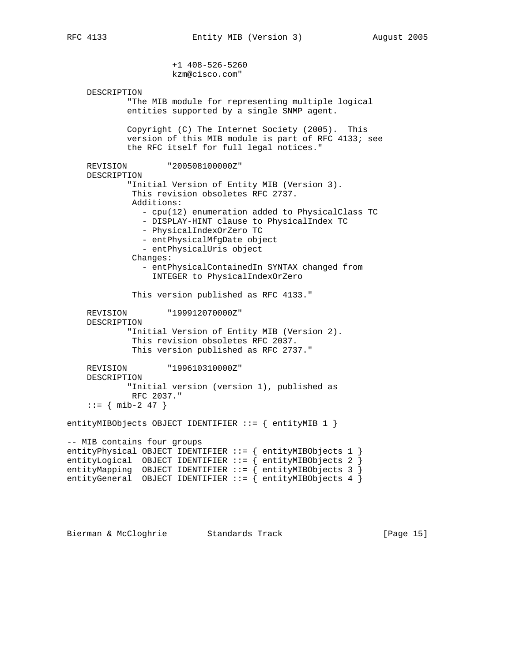+1 408-526-5260

 kzm@cisco.com" DESCRIPTION "The MIB module for representing multiple logical entities supported by a single SNMP agent. Copyright (C) The Internet Society (2005). This version of this MIB module is part of RFC 4133; see the RFC itself for full legal notices." REVISION "200508100000Z" DESCRIPTION "Initial Version of Entity MIB (Version 3). This revision obsoletes RFC 2737. Additions: - cpu(12) enumeration added to PhysicalClass TC - DISPLAY-HINT clause to PhysicalIndex TC - PhysicalIndexOrZero TC - entPhysicalMfgDate object - entPhysicalUris object Changes: - entPhysicalContainedIn SYNTAX changed from INTEGER to PhysicalIndexOrZero This version published as RFC 4133." REVISION "199912070000Z" DESCRIPTION "Initial Version of Entity MIB (Version 2). This revision obsoletes RFC 2037. This version published as RFC 2737." REVISION "199610310000Z" DESCRIPTION "Initial version (version 1), published as RFC 2037."  $::=$  { mib-2 47 } entityMIBObjects OBJECT IDENTIFIER ::= { entityMIB 1 } -- MIB contains four groups entityPhysical OBJECT IDENTIFIER ::= { entityMIBObjects 1 } entityLogical OBJECT IDENTIFIER ::= { entityMIBObjects 2 } entityMapping OBJECT IDENTIFIER ::= { entityMIBObjects 3 } entityGeneral OBJECT IDENTIFIER ::= { entityMIBObjects 4 }

Bierman & McCloghrie Standards Track [Page 15]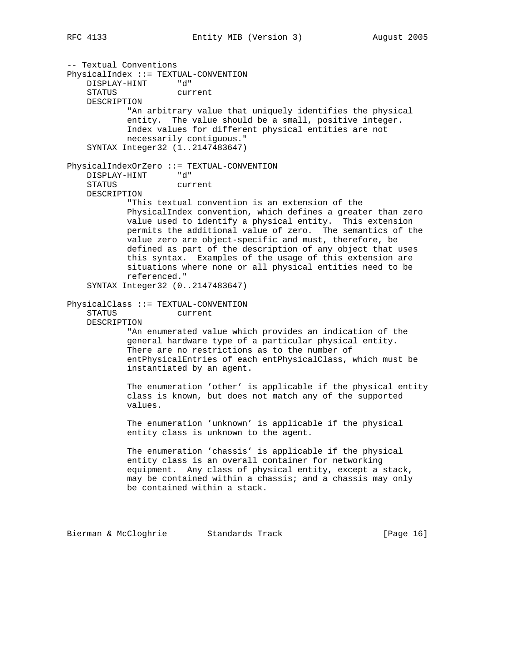-- Textual Conventions PhysicalIndex ::= TEXTUAL-CONVENTION DISPLAY-HINT "d" STATUS current DESCRIPTION "An arbitrary value that uniquely identifies the physical entity. The value should be a small, positive integer. Index values for different physical entities are not necessarily contiguous." SYNTAX Integer32 (1..2147483647) PhysicalIndexOrZero ::= TEXTUAL-CONVENTION DISPLAY-HINT "d" STATUS current DESCRIPTION "This textual convention is an extension of the PhysicalIndex convention, which defines a greater than zero value used to identify a physical entity. This extension permits the additional value of zero. The semantics of the value zero are object-specific and must, therefore, be defined as part of the description of any object that uses this syntax. Examples of the usage of this extension are situations where none or all physical entities need to be referenced." SYNTAX Integer32 (0..2147483647) PhysicalClass ::= TEXTUAL-CONVENTION STATUS current DESCRIPTION "An enumerated value which provides an indication of the general hardware type of a particular physical entity. There are no restrictions as to the number of entPhysicalEntries of each entPhysicalClass, which must be instantiated by an agent. The enumeration 'other' is applicable if the physical entity class is known, but does not match any of the supported values. The enumeration 'unknown' is applicable if the physical entity class is unknown to the agent. The enumeration 'chassis' is applicable if the physical entity class is an overall container for networking equipment. Any class of physical entity, except a stack, may be contained within a chassis; and a chassis may only be contained within a stack.

Bierman & McCloghrie Standards Track [Page 16]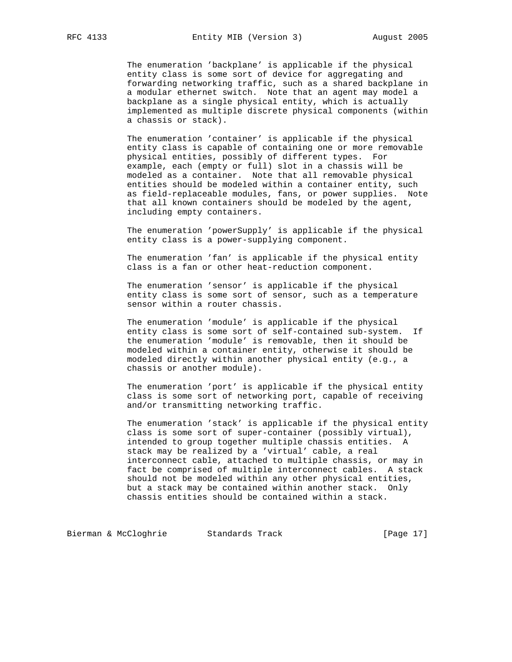The enumeration 'backplane' is applicable if the physical entity class is some sort of device for aggregating and forwarding networking traffic, such as a shared backplane in a modular ethernet switch. Note that an agent may model a backplane as a single physical entity, which is actually implemented as multiple discrete physical components (within a chassis or stack).

 The enumeration 'container' is applicable if the physical entity class is capable of containing one or more removable physical entities, possibly of different types. For example, each (empty or full) slot in a chassis will be modeled as a container. Note that all removable physical entities should be modeled within a container entity, such as field-replaceable modules, fans, or power supplies. Note that all known containers should be modeled by the agent, including empty containers.

 The enumeration 'powerSupply' is applicable if the physical entity class is a power-supplying component.

 The enumeration 'fan' is applicable if the physical entity class is a fan or other heat-reduction component.

 The enumeration 'sensor' is applicable if the physical entity class is some sort of sensor, such as a temperature sensor within a router chassis.

 The enumeration 'module' is applicable if the physical entity class is some sort of self-contained sub-system. If the enumeration 'module' is removable, then it should be modeled within a container entity, otherwise it should be modeled directly within another physical entity (e.g., a chassis or another module).

 The enumeration 'port' is applicable if the physical entity class is some sort of networking port, capable of receiving and/or transmitting networking traffic.

 The enumeration 'stack' is applicable if the physical entity class is some sort of super-container (possibly virtual), intended to group together multiple chassis entities. A stack may be realized by a 'virtual' cable, a real interconnect cable, attached to multiple chassis, or may in fact be comprised of multiple interconnect cables. A stack should not be modeled within any other physical entities, but a stack may be contained within another stack. Only chassis entities should be contained within a stack.

Bierman & McCloghrie Standards Track [Page 17]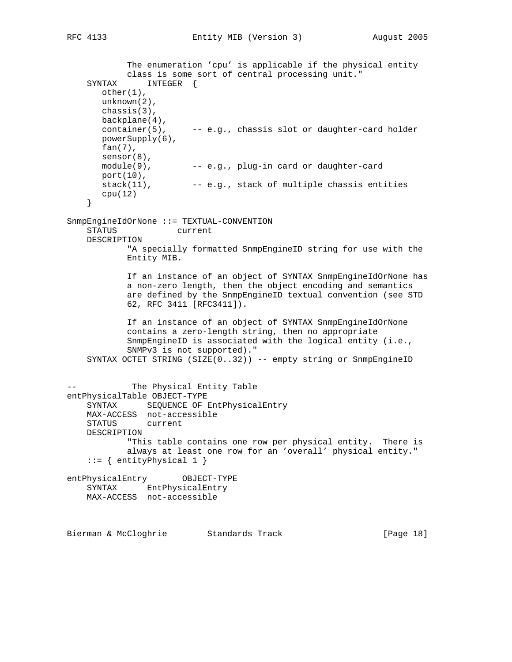```
 The enumeration 'cpu' is applicable if the physical entity
            class is some sort of central processing unit."
    SYNTAX INTEGER {
       other(1),
       unknown(2),
       chassis(3),
       backplane(4),
      container(5), -- e.g., chassis slot or daughter-card holder
       powerSupply(6),
       fan(7),
      sensor(8),<br>module(9),
                       -- e.g., plug-in card or daughter-card
      port(10),<br>stack(11),
                       -- e.g., stack of multiple chassis entities
       cpu(12)
     }
SnmpEngineIdOrNone ::= TEXTUAL-CONVENTION
             current
    DESCRIPTION
            "A specially formatted SnmpEngineID string for use with the
            Entity MIB.
            If an instance of an object of SYNTAX SnmpEngineIdOrNone has
            a non-zero length, then the object encoding and semantics
            are defined by the SnmpEngineID textual convention (see STD
            62, RFC 3411 [RFC3411]).
            If an instance of an object of SYNTAX SnmpEngineIdOrNone
            contains a zero-length string, then no appropriate
            SnmpEngineID is associated with the logical entity (i.e.,
            SNMPv3 is not supported)."
    SYNTAX OCTET STRING (SIZE(0..32)) -- empty string or SnmpEngineID
            The Physical Entity Table
entPhysicalTable OBJECT-TYPE
    SYNTAX SEQUENCE OF EntPhysicalEntry
    MAX-ACCESS not-accessible
    STATUS current
    DESCRIPTION
            "This table contains one row per physical entity. There is
            always at least one row for an 'overall' physical entity."
    ::= { entityPhysical 1 }
entPhysicalEntry OBJECT-TYPE
    SYNTAX EntPhysicalEntry
    MAX-ACCESS not-accessible
Bierman & McCloghrie Standards Track [Page 18]
```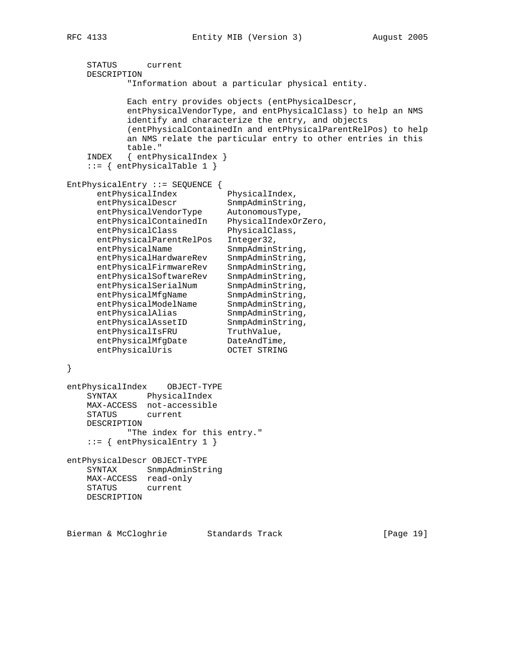```
 STATUS current
    DESCRIPTION
            "Information about a particular physical entity.
            Each entry provides objects (entPhysicalDescr,
            entPhysicalVendorType, and entPhysicalClass) to help an NMS
            identify and characterize the entry, and objects
            (entPhysicalContainedIn and entPhysicalParentRelPos) to help
            an NMS relate the particular entry to other entries in this
            table."
    INDEX { entPhysicalIndex }
   ::= { entPhysicalTable 1 }
EntPhysicalEntry ::= SEQUENCE {
     entPhysicalIndex PhysicalIndex,<br>entPhysicalDescr SnmpAdminString,
entPhysicalDescr SnmpAdminString,
 entPhysicalVendorType AutonomousType,
 entPhysicalContainedIn PhysicalIndexOrZero,
     entPhysicalClass PhysicalClass,
      entPhysicalParentRelPos Integer32,
     entPhysicalName SnmpAdminString,<br>entPhysicalHardwareRev SnmpAdminString,
 entPhysicalHardwareRev SnmpAdminString,
 entPhysicalFirmwareRev SnmpAdminString,
 entPhysicalSoftwareRev SnmpAdminString,
entPhysicalSerialNum SnmpAdminString,
entPhysicalMfgName SnmpAdminString,
entPhysicalModelName SnmpAdminString,
entPhysicalAlias SnmpAdminString,
entPhysicalAssetID SnmpAdminString,
entPhysicalIsFRU TruthValue,
entPhysicalMfgDate DateAndTime,
entPhysicalUris OCTET STRING
}
entPhysicalIndex OBJECT-TYPE
    SYNTAX PhysicalIndex
    MAX-ACCESS not-accessible
    STATUS current
    DESCRIPTION
           "The index for this entry."
    ::= { entPhysicalEntry 1 }
entPhysicalDescr OBJECT-TYPE
    SYNTAX SnmpAdminString
    MAX-ACCESS read-only
    STATUS current
    DESCRIPTION
```
Bierman & McCloghrie Standards Track [Page 19]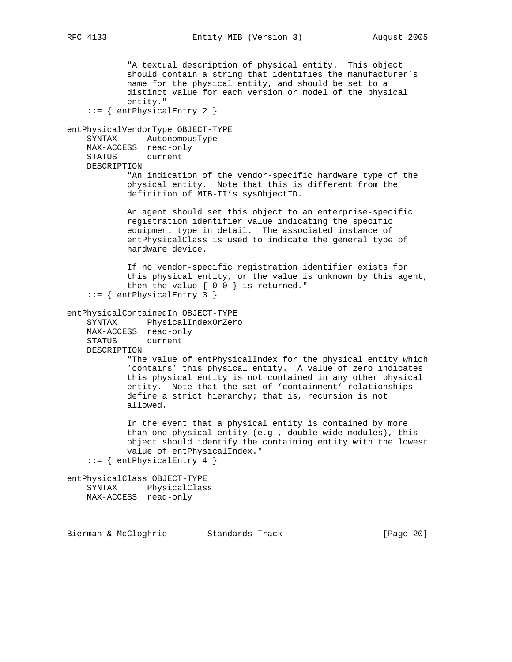"A textual description of physical entity. This object should contain a string that identifies the manufacturer's name for the physical entity, and should be set to a distinct value for each version or model of the physical entity." ::= { entPhysicalEntry 2 } entPhysicalVendorType OBJECT-TYPE SYNTAX AutonomousType MAX-ACCESS read-only STATUS current DESCRIPTION "An indication of the vendor-specific hardware type of the physical entity. Note that this is different from the definition of MIB-II's sysObjectID. An agent should set this object to an enterprise-specific registration identifier value indicating the specific equipment type in detail. The associated instance of entPhysicalClass is used to indicate the general type of hardware device. If no vendor-specific registration identifier exists for this physical entity, or the value is unknown by this agent, then the value  $\{ 0\ 0\}$  is returned."  $::=$  { entPhysicalEntry 3 } entPhysicalContainedIn OBJECT-TYPE SYNTAX PhysicalIndexOrZero MAX-ACCESS read-only STATUS current DESCRIPTION "The value of entPhysicalIndex for the physical entity which 'contains' this physical entity. A value of zero indicates this physical entity is not contained in any other physical entity. Note that the set of 'containment' relationships define a strict hierarchy; that is, recursion is not allowed. In the event that a physical entity is contained by more than one physical entity (e.g., double-wide modules), this object should identify the containing entity with the lowest value of entPhysicalIndex."  $::=$  { entPhysicalEntry 4 } entPhysicalClass OBJECT-TYPE SYNTAX PhysicalClass MAX-ACCESS read-only

Bierman & McCloghrie Standards Track [Page 20]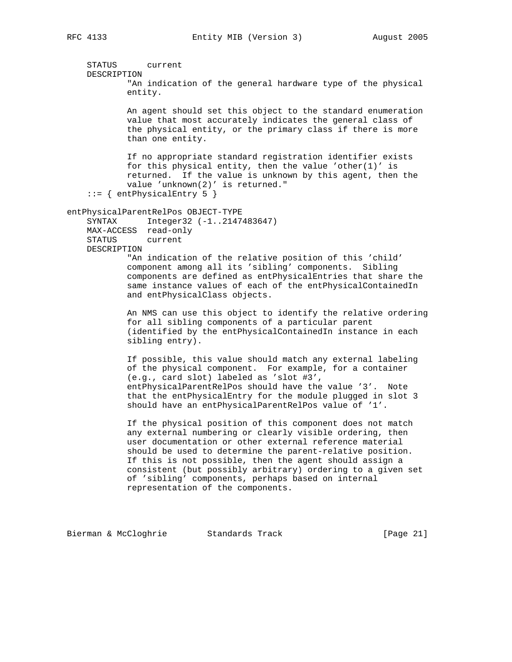STATUS current DESCRIPTION "An indication of the general hardware type of the physical entity. An agent should set this object to the standard enumeration value that most accurately indicates the general class of the physical entity, or the primary class if there is more than one entity. If no appropriate standard registration identifier exists for this physical entity, then the value 'other $(1)'$  is returned. If the value is unknown by this agent, then the value 'unknown(2)' is returned." ::= { entPhysicalEntry 5 } entPhysicalParentRelPos OBJECT-TYPE SYNTAX Integer32 (-1..2147483647) MAX-ACCESS read-only STATUS current DESCRIPTION "An indication of the relative position of this 'child' component among all its 'sibling' components. Sibling components are defined as entPhysicalEntries that share the same instance values of each of the entPhysicalContainedIn and entPhysicalClass objects. An NMS can use this object to identify the relative ordering for all sibling components of a particular parent (identified by the entPhysicalContainedIn instance in each sibling entry). If possible, this value should match any external labeling of the physical component. For example, for a container (e.g., card slot) labeled as 'slot #3', entPhysicalParentRelPos should have the value '3'. Note that the entPhysicalEntry for the module plugged in slot 3 should have an entPhysicalParentRelPos value of '1'. If the physical position of this component does not match any external numbering or clearly visible ordering, then user documentation or other external reference material

 should be used to determine the parent-relative position. If this is not possible, then the agent should assign a consistent (but possibly arbitrary) ordering to a given set of 'sibling' components, perhaps based on internal representation of the components.

Bierman & McCloghrie Standards Track [Page 21]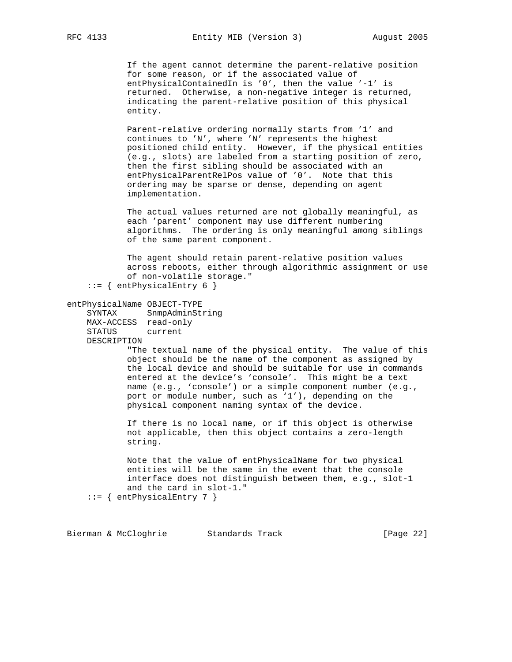RFC 4133 **Entity MIB** (Version 3) August 2005

 If the agent cannot determine the parent-relative position for some reason, or if the associated value of entPhysicalContainedIn is '0', then the value '-1' is returned. Otherwise, a non-negative integer is returned, indicating the parent-relative position of this physical entity.

 Parent-relative ordering normally starts from '1' and continues to 'N', where 'N' represents the highest positioned child entity. However, if the physical entities (e.g., slots) are labeled from a starting position of zero, then the first sibling should be associated with an entPhysicalParentRelPos value of '0'. Note that this ordering may be sparse or dense, depending on agent implementation.

 The actual values returned are not globally meaningful, as each 'parent' component may use different numbering algorithms. The ordering is only meaningful among siblings of the same parent component.

 The agent should retain parent-relative position values across reboots, either through algorithmic assignment or use of non-volatile storage."

::= { entPhysicalEntry 6 }

entPhysicalName OBJECT-TYPE

 SYNTAX SnmpAdminString MAX-ACCESS read-only STATUS current DESCRIPTION

> "The textual name of the physical entity. The value of this object should be the name of the component as assigned by the local device and should be suitable for use in commands entered at the device's 'console'. This might be a text name (e.g., 'console') or a simple component number (e.g., port or module number, such as '1'), depending on the physical component naming syntax of the device.

 If there is no local name, or if this object is otherwise not applicable, then this object contains a zero-length string.

 Note that the value of entPhysicalName for two physical entities will be the same in the event that the console interface does not distinguish between them, e.g., slot-1 and the card in slot-1."

 $::=$  { entPhysicalEntry 7 }

Bierman & McCloghrie Standards Track (Page 22)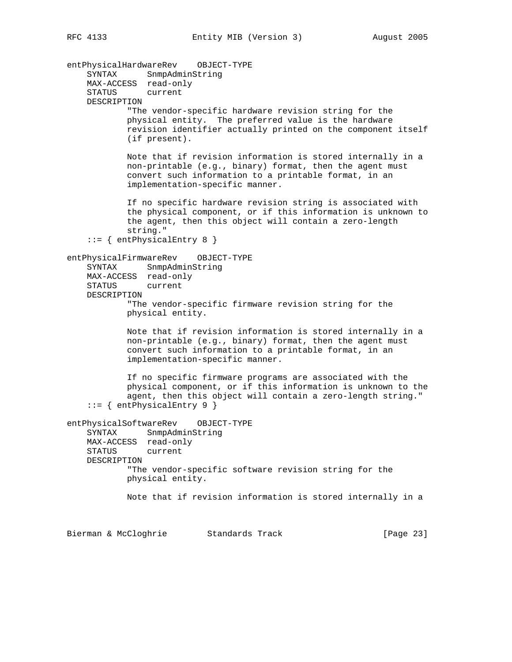entPhysicalHardwareRev OBJECT-TYPE SYNTAX SnmpAdminString MAX-ACCESS read-only STATUS current DESCRIPTION "The vendor-specific hardware revision string for the physical entity. The preferred value is the hardware revision identifier actually printed on the component itself (if present). Note that if revision information is stored internally in a non-printable (e.g., binary) format, then the agent must convert such information to a printable format, in an implementation-specific manner. If no specific hardware revision string is associated with the physical component, or if this information is unknown to the agent, then this object will contain a zero-length string."  $::=$  { entPhysicalEntry 8 } entPhysicalFirmwareRev OBJECT-TYPE SYNTAX SnmpAdminString MAX-ACCESS read-only STATUS current DESCRIPTION "The vendor-specific firmware revision string for the physical entity. Note that if revision information is stored internally in a non-printable (e.g., binary) format, then the agent must convert such information to a printable format, in an implementation-specific manner. If no specific firmware programs are associated with the physical component, or if this information is unknown to the agent, then this object will contain a zero-length string."  $::=$  { entPhysicalEntry 9 } entPhysicalSoftwareRev OBJECT-TYPE SYNTAX SnmpAdminString MAX-ACCESS read-only STATUS current DESCRIPTION "The vendor-specific software revision string for the physical entity. Note that if revision information is stored internally in a

Bierman & McCloghrie Standards Track [Page 23]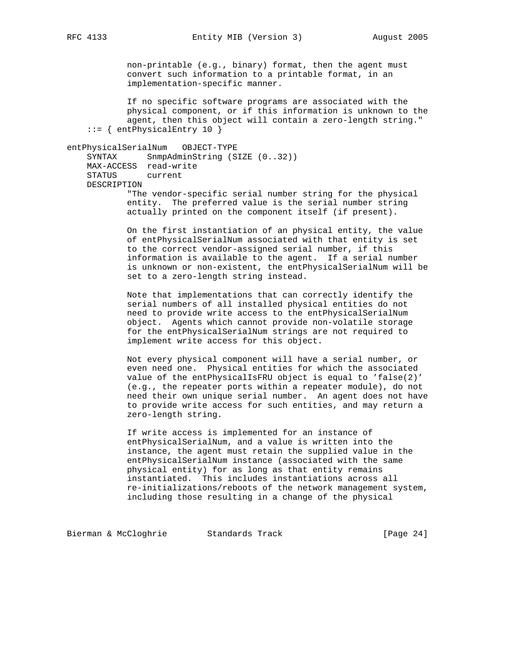non-printable (e.g., binary) format, then the agent must convert such information to a printable format, in an implementation-specific manner.

 If no specific software programs are associated with the physical component, or if this information is unknown to the agent, then this object will contain a zero-length string."  $::=$  { entPhysicalEntry 10 }

# entPhysicalSerialNum OBJECT-TYPE

SYNTAX SnmpAdminString (SIZE (0..32)) MAX-ACCESS read-write STATUS current DESCRIPTION "The vendor-specific serial number string for the physical

 entity. The preferred value is the serial number string actually printed on the component itself (if present).

 On the first instantiation of an physical entity, the value of entPhysicalSerialNum associated with that entity is set to the correct vendor-assigned serial number, if this information is available to the agent. If a serial number is unknown or non-existent, the entPhysicalSerialNum will be set to a zero-length string instead.

 Note that implementations that can correctly identify the serial numbers of all installed physical entities do not need to provide write access to the entPhysicalSerialNum object. Agents which cannot provide non-volatile storage for the entPhysicalSerialNum strings are not required to implement write access for this object.

 Not every physical component will have a serial number, or even need one. Physical entities for which the associated value of the entPhysicalIsFRU object is equal to 'false(2)' (e.g., the repeater ports within a repeater module), do not need their own unique serial number. An agent does not have to provide write access for such entities, and may return a zero-length string.

 If write access is implemented for an instance of entPhysicalSerialNum, and a value is written into the instance, the agent must retain the supplied value in the entPhysicalSerialNum instance (associated with the same physical entity) for as long as that entity remains instantiated. This includes instantiations across all re-initializations/reboots of the network management system, including those resulting in a change of the physical

Bierman & McCloghrie Standards Track (Page 24)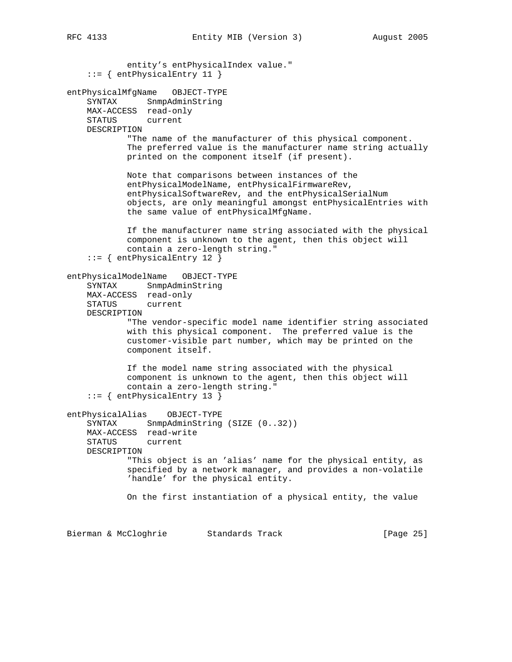entity's entPhysicalIndex value." ::= { entPhysicalEntry 11 } entPhysicalMfgName OBJECT-TYPE SYNTAX SnmpAdminString MAX-ACCESS read-only STATUS current DESCRIPTION "The name of the manufacturer of this physical component. The preferred value is the manufacturer name string actually printed on the component itself (if present). Note that comparisons between instances of the entPhysicalModelName, entPhysicalFirmwareRev, entPhysicalSoftwareRev, and the entPhysicalSerialNum objects, are only meaningful amongst entPhysicalEntries with the same value of entPhysicalMfgName. If the manufacturer name string associated with the physical component is unknown to the agent, then this object will contain a zero-length string." ::= { entPhysicalEntry 12 } entPhysicalModelName OBJECT-TYPE SYNTAX SnmpAdminString MAX-ACCESS read-only STATUS current DESCRIPTION "The vendor-specific model name identifier string associated with this physical component. The preferred value is the customer-visible part number, which may be printed on the component itself. If the model name string associated with the physical component is unknown to the agent, then this object will contain a zero-length string." ::= { entPhysicalEntry 13 } entPhysicalAlias OBJECT-TYPE SYNTAX SnmpAdminString (SIZE (0..32)) MAX-ACCESS read-write STATUS current DESCRIPTION "This object is an 'alias' name for the physical entity, as specified by a network manager, and provides a non-volatile 'handle' for the physical entity. On the first instantiation of a physical entity, the value Bierman & McCloghrie Standards Track [Page 25]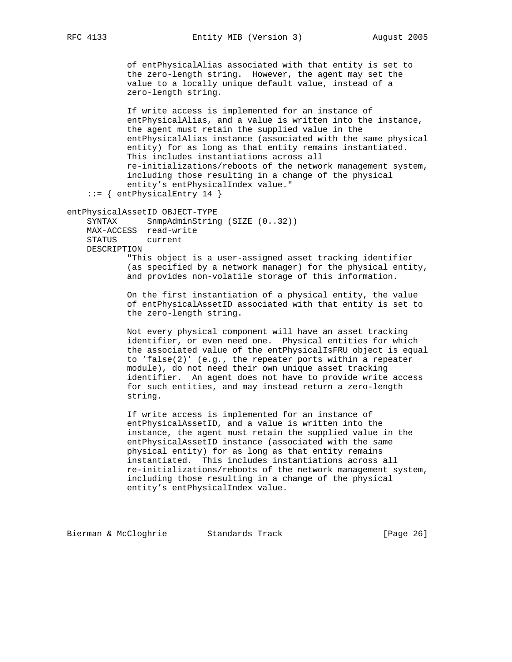RFC 4133 **Entity MIB** (Version 3) August 2005

 of entPhysicalAlias associated with that entity is set to the zero-length string. However, the agent may set the value to a locally unique default value, instead of a zero-length string.

 If write access is implemented for an instance of entPhysicalAlias, and a value is written into the instance, the agent must retain the supplied value in the entPhysicalAlias instance (associated with the same physical entity) for as long as that entity remains instantiated. This includes instantiations across all re-initializations/reboots of the network management system, including those resulting in a change of the physical entity's entPhysicalIndex value."

```
 ::= { entPhysicalEntry 14 }
```
entPhysicalAssetID OBJECT-TYPE

SYNTAX SnmpAdminString (SIZE (0..32)) MAX-ACCESS read-write STATUS current DESCRIPTION

 "This object is a user-assigned asset tracking identifier (as specified by a network manager) for the physical entity, and provides non-volatile storage of this information.

 On the first instantiation of a physical entity, the value of entPhysicalAssetID associated with that entity is set to the zero-length string.

 Not every physical component will have an asset tracking identifier, or even need one. Physical entities for which the associated value of the entPhysicalIsFRU object is equal to 'false(2)' (e.g., the repeater ports within a repeater module), do not need their own unique asset tracking identifier. An agent does not have to provide write access for such entities, and may instead return a zero-length string.

 If write access is implemented for an instance of entPhysicalAssetID, and a value is written into the instance, the agent must retain the supplied value in the entPhysicalAssetID instance (associated with the same physical entity) for as long as that entity remains instantiated. This includes instantiations across all re-initializations/reboots of the network management system, including those resulting in a change of the physical entity's entPhysicalIndex value.

Bierman & McCloghrie Standards Track (Page 26)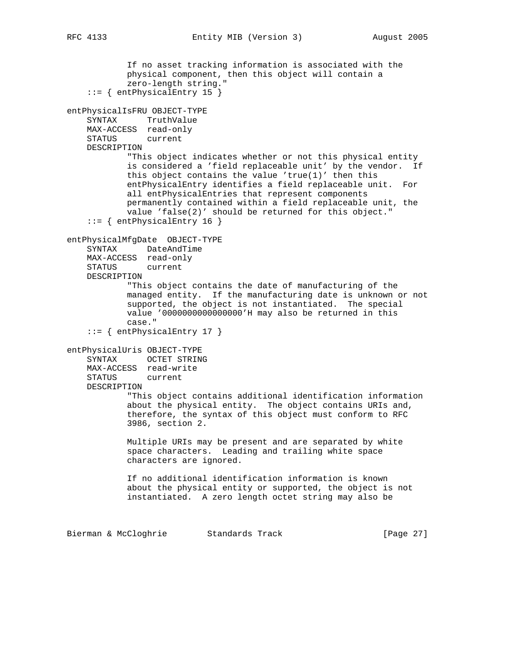```
 If no asset tracking information is associated with the
            physical component, then this object will contain a
            zero-length string."
     ::= { entPhysicalEntry 15 }
entPhysicalIsFRU OBJECT-TYPE
    SYNTAX TruthValue
    MAX-ACCESS read-only
    STATUS current
    DESCRIPTION
            "This object indicates whether or not this physical entity
            is considered a 'field replaceable unit' by the vendor. If
           this object contains the value 'true(1)' then this
            entPhysicalEntry identifies a field replaceable unit. For
            all entPhysicalEntries that represent components
            permanently contained within a field replaceable unit, the
            value 'false(2)' should be returned for this object."
     ::= { entPhysicalEntry 16 }
entPhysicalMfgDate OBJECT-TYPE
    SYNTAX DateAndTime
    MAX-ACCESS read-only
    STATUS current
    DESCRIPTION
            "This object contains the date of manufacturing of the
            managed entity. If the manufacturing date is unknown or not
            supported, the object is not instantiated. The special
            value '0000000000000000'H may also be returned in this
            case."
     ::= { entPhysicalEntry 17 }
entPhysicalUris OBJECT-TYPE
    SYNTAX OCTET STRING
    MAX-ACCESS read-write
    STATUS current
    DESCRIPTION
            "This object contains additional identification information
            about the physical entity. The object contains URIs and,
            therefore, the syntax of this object must conform to RFC
            3986, section 2.
            Multiple URIs may be present and are separated by white
            space characters. Leading and trailing white space
            characters are ignored.
            If no additional identification information is known
            about the physical entity or supported, the object is not
            instantiated. A zero length octet string may also be
Bierman & McCloghrie Standards Track [Page 27]
```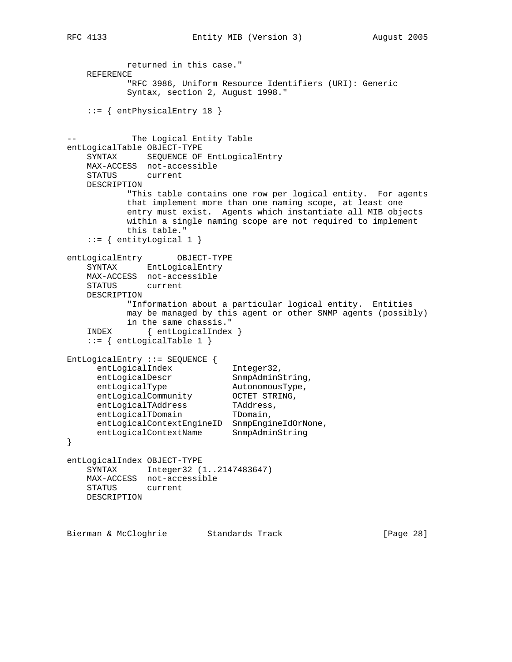returned in this case." REFERENCE "RFC 3986, Uniform Resource Identifiers (URI): Generic Syntax, section 2, August 1998." ::= { entPhysicalEntry 18 } -- The Logical Entity Table entLogicalTable OBJECT-TYPE SYNTAX SEQUENCE OF EntLogicalEntry MAX-ACCESS not-accessible STATUS current DESCRIPTION "This table contains one row per logical entity. For agents that implement more than one naming scope, at least one entry must exist. Agents which instantiate all MIB objects within a single naming scope are not required to implement this table." ::= { entityLogical 1 } entLogicalEntry OBJECT-TYPE SYNTAX EntLogicalEntry MAX-ACCESS not-accessible STATUS current DESCRIPTION "Information about a particular logical entity. Entities may be managed by this agent or other SNMP agents (possibly) in the same chassis." INDEX { entLogicalIndex } ::= { entLogicalTable 1 } EntLogicalEntry ::= SEQUENCE { entLogicalIndex 1nteger32, entLogicalDescr SnmpAdminString, entLogicalType AutonomousType, entLogicalCommunity OCTET STRING, entLogicalTAddress TAddress, entLogicalTDomain TDomain, entLogicalContextEngineID SnmpEngineIdOrNone, entLogicalContextName SnmpAdminString } entLogicalIndex OBJECT-TYPE SYNTAX Integer32 (1..2147483647) MAX-ACCESS not-accessible STATUS current DESCRIPTION Bierman & McCloghrie Standards Track [Page 28]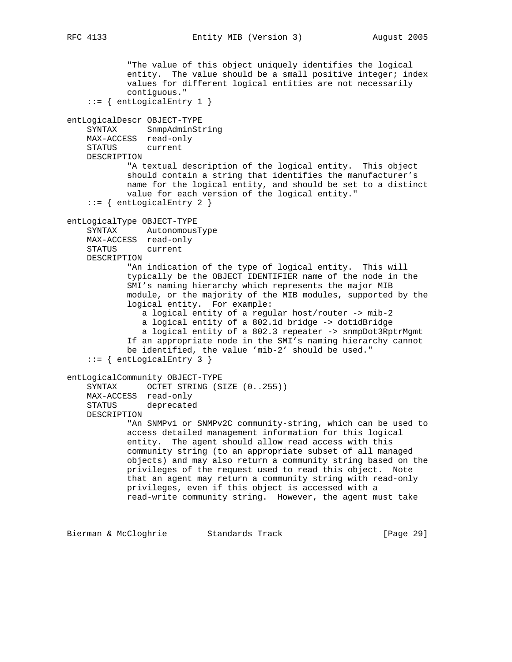```
RFC 4133 Entity MIB (Version 3) August 2005
```
 "The value of this object uniquely identifies the logical entity. The value should be a small positive integer; index values for different logical entities are not necessarily contiguous."  $::=$  { entLogicalEntry 1 } entLogicalDescr OBJECT-TYPE SYNTAX SnmpAdminString MAX-ACCESS read-only STATUS current DESCRIPTION "A textual description of the logical entity. This object should contain a string that identifies the manufacturer's name for the logical entity, and should be set to a distinct value for each version of the logical entity." ::= { entLogicalEntry 2 } entLogicalType OBJECT-TYPE SYNTAX AutonomousType MAX-ACCESS read-only STATUS current DESCRIPTION "An indication of the type of logical entity. This will typically be the OBJECT IDENTIFIER name of the node in the SMI's naming hierarchy which represents the major MIB module, or the majority of the MIB modules, supported by the logical entity. For example: a logical entity of a regular host/router -> mib-2 a logical entity of a 802.1d bridge -> dot1dBridge a logical entity of a 802.3 repeater -> snmpDot3RptrMgmt If an appropriate node in the SMI's naming hierarchy cannot be identified, the value 'mib-2' should be used."  $::=$  { entLogicalEntry 3 } entLogicalCommunity OBJECT-TYPE SYNTAX OCTET STRING (SIZE (0..255)) MAX-ACCESS read-only STATUS deprecated DESCRIPTION "An SNMPv1 or SNMPv2C community-string, which can be used to access detailed management information for this logical entity. The agent should allow read access with this community string (to an appropriate subset of all managed objects) and may also return a community string based on the privileges of the request used to read this object. Note that an agent may return a community string with read-only privileges, even if this object is accessed with a read-write community string. However, the agent must take Bierman & McCloghrie Standards Track [Page 29]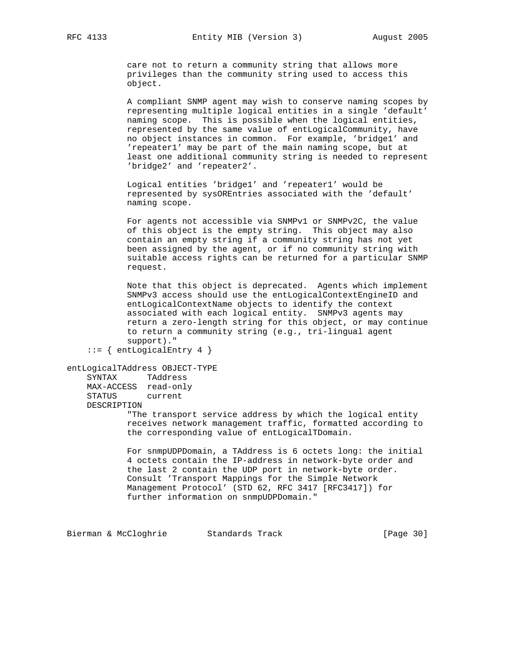care not to return a community string that allows more privileges than the community string used to access this object.

 A compliant SNMP agent may wish to conserve naming scopes by representing multiple logical entities in a single 'default' naming scope. This is possible when the logical entities, represented by the same value of entLogicalCommunity, have no object instances in common. For example, 'bridge1' and 'repeater1' may be part of the main naming scope, but at least one additional community string is needed to represent 'bridge2' and 'repeater2'.

 Logical entities 'bridge1' and 'repeater1' would be represented by sysOREntries associated with the 'default' naming scope.

 For agents not accessible via SNMPv1 or SNMPv2C, the value of this object is the empty string. This object may also contain an empty string if a community string has not yet been assigned by the agent, or if no community string with suitable access rights can be returned for a particular SNMP request.

 Note that this object is deprecated. Agents which implement SNMPv3 access should use the entLogicalContextEngineID and entLogicalContextName objects to identify the context associated with each logical entity. SNMPv3 agents may return a zero-length string for this object, or may continue to return a community string (e.g., tri-lingual agent support)."

```
::= { entLogicalEntry 4 }
```

```
entLogicalTAddress OBJECT-TYPE
```
 SYNTAX TAddress MAX-ACCESS read-only STATUS current DESCRIPTION

> "The transport service address by which the logical entity receives network management traffic, formatted according to the corresponding value of entLogicalTDomain.

> For snmpUDPDomain, a TAddress is 6 octets long: the initial 4 octets contain the IP-address in network-byte order and the last 2 contain the UDP port in network-byte order. Consult 'Transport Mappings for the Simple Network Management Protocol' (STD 62, RFC 3417 [RFC3417]) for further information on snmpUDPDomain."

Bierman & McCloghrie Standards Track (Page 30)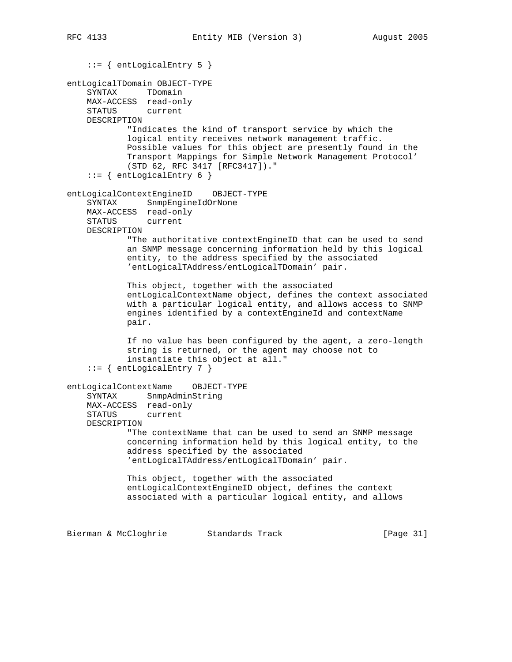```
 ::= { entLogicalEntry 5 }
entLogicalTDomain OBJECT-TYPE
    SYNTAX TDomain
    MAX-ACCESS read-only
    STATUS current
    DESCRIPTION
            "Indicates the kind of transport service by which the
            logical entity receives network management traffic.
            Possible values for this object are presently found in the
            Transport Mappings for Simple Network Management Protocol'
            (STD 62, RFC 3417 [RFC3417])."
    ::= { entLogicalEntry 6 }
entLogicalContextEngineID OBJECT-TYPE
    SYNTAX SnmpEngineIdOrNone
    MAX-ACCESS read-only
    STATUS current
    DESCRIPTION
            "The authoritative contextEngineID that can be used to send
            an SNMP message concerning information held by this logical
            entity, to the address specified by the associated
            'entLogicalTAddress/entLogicalTDomain' pair.
            This object, together with the associated
            entLogicalContextName object, defines the context associated
            with a particular logical entity, and allows access to SNMP
            engines identified by a contextEngineId and contextName
            pair.
            If no value has been configured by the agent, a zero-length
            string is returned, or the agent may choose not to
            instantiate this object at all."
     ::= { entLogicalEntry 7 }
entLogicalContextName OBJECT-TYPE
    SYNTAX SnmpAdminString
    MAX-ACCESS read-only
    STATUS current
    DESCRIPTION
            "The contextName that can be used to send an SNMP message
            concerning information held by this logical entity, to the
            address specified by the associated
            'entLogicalTAddress/entLogicalTDomain' pair.
            This object, together with the associated
            entLogicalContextEngineID object, defines the context
            associated with a particular logical entity, and allows
Bierman & McCloghrie Standards Track [Page 31]
```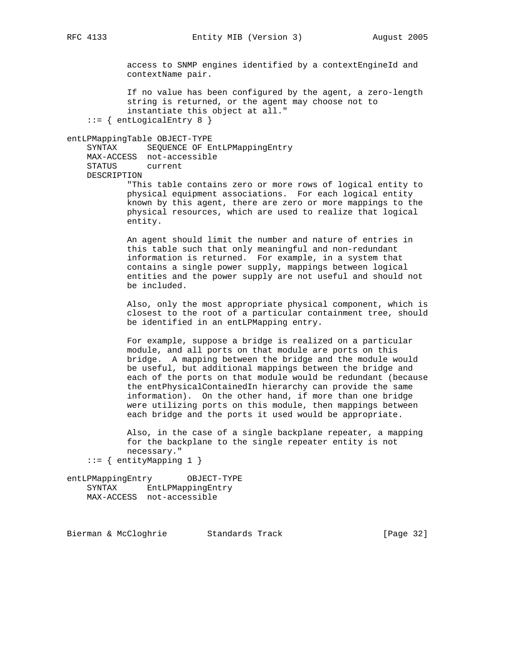access to SNMP engines identified by a contextEngineId and contextName pair.

 If no value has been configured by the agent, a zero-length string is returned, or the agent may choose not to instantiate this object at all." ::= { entLogicalEntry 8 }

#### entLPMappingTable OBJECT-TYPE

 SYNTAX SEQUENCE OF EntLPMappingEntry MAX-ACCESS not-accessible STATUS current DESCRIPTION

 "This table contains zero or more rows of logical entity to physical equipment associations. For each logical entity known by this agent, there are zero or more mappings to the physical resources, which are used to realize that logical entity.

 An agent should limit the number and nature of entries in this table such that only meaningful and non-redundant information is returned. For example, in a system that contains a single power supply, mappings between logical entities and the power supply are not useful and should not be included.

 Also, only the most appropriate physical component, which is closest to the root of a particular containment tree, should be identified in an entLPMapping entry.

 For example, suppose a bridge is realized on a particular module, and all ports on that module are ports on this bridge. A mapping between the bridge and the module would be useful, but additional mappings between the bridge and each of the ports on that module would be redundant (because the entPhysicalContainedIn hierarchy can provide the same information). On the other hand, if more than one bridge were utilizing ports on this module, then mappings between each bridge and the ports it used would be appropriate.

 Also, in the case of a single backplane repeater, a mapping for the backplane to the single repeater entity is not necessary."

```
::= { entityMapping 1 }
```
entLPMappingEntry OBJECT-TYPE SYNTAX EntLPMappingEntry MAX-ACCESS not-accessible

Bierman & McCloghrie Standards Track [Page 32]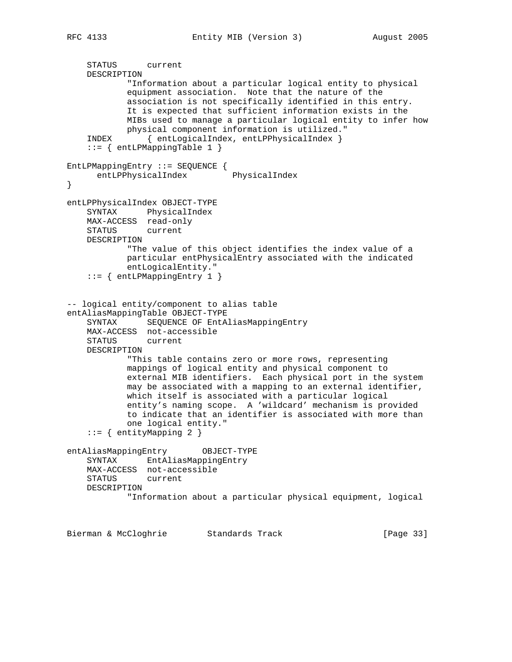```
 STATUS current
    DESCRIPTION
            "Information about a particular logical entity to physical
            equipment association. Note that the nature of the
            association is not specifically identified in this entry.
            It is expected that sufficient information exists in the
            MIBs used to manage a particular logical entity to infer how
            physical component information is utilized."
     INDEX { entLogicalIndex, entLPPhysicalIndex }
     ::= { entLPMappingTable 1 }
EntLPMappingEntry ::= SEQUENCE {
      entLPPhysicalIndex PhysicalIndex
}
entLPPhysicalIndex OBJECT-TYPE
    SYNTAX PhysicalIndex
    MAX-ACCESS read-only
    STATUS current
    DESCRIPTION
            "The value of this object identifies the index value of a
            particular entPhysicalEntry associated with the indicated
            entLogicalEntity."
     ::= { entLPMappingEntry 1 }
-- logical entity/component to alias table
entAliasMappingTable OBJECT-TYPE
    SYNTAX SEQUENCE OF EntAliasMappingEntry
    MAX-ACCESS not-accessible
    STATUS current
    DESCRIPTION
            "This table contains zero or more rows, representing
            mappings of logical entity and physical component to
            external MIB identifiers. Each physical port in the system
            may be associated with a mapping to an external identifier,
            which itself is associated with a particular logical
            entity's naming scope. A 'wildcard' mechanism is provided
            to indicate that an identifier is associated with more than
            one logical entity."
     ::= { entityMapping 2 }
entAliasMappingEntry OBJECT-TYPE
    SYNTAX EntAliasMappingEntry
    MAX-ACCESS not-accessible
    STATUS current
    DESCRIPTION
             "Information about a particular physical equipment, logical
```
Bierman & McCloghrie Standards Track [Page 33]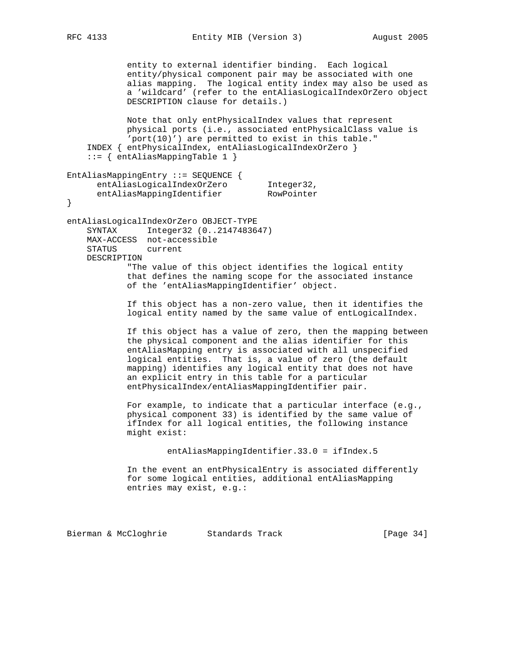```
 entity to external identifier binding. Each logical
            entity/physical component pair may be associated with one
            alias mapping. The logical entity index may also be used as
            a 'wildcard' (refer to the entAliasLogicalIndexOrZero object
            DESCRIPTION clause for details.)
            Note that only entPhysicalIndex values that represent
            physical ports (i.e., associated entPhysicalClass value is
            'port(10)') are permitted to exist in this table."
     INDEX { entPhysicalIndex, entAliasLogicalIndexOrZero }
     ::= { entAliasMappingTable 1 }
EntAliasMappingEntry ::= SEQUENCE {
entAliasLogicalIndexOrZero    Integer32,
entAliasMappingIdentifier RowPointer
}
entAliasLogicalIndexOrZero OBJECT-TYPE
    SYNTAX Integer32 (0..2147483647)
    MAX-ACCESS not-accessible
    STATUS current
    DESCRIPTION
             "The value of this object identifies the logical entity
            that defines the naming scope for the associated instance
            of the 'entAliasMappingIdentifier' object.
            If this object has a non-zero value, then it identifies the
            logical entity named by the same value of entLogicalIndex.
            If this object has a value of zero, then the mapping between
            the physical component and the alias identifier for this
            entAliasMapping entry is associated with all unspecified
            logical entities. That is, a value of zero (the default
            mapping) identifies any logical entity that does not have
            an explicit entry in this table for a particular
            entPhysicalIndex/entAliasMappingIdentifier pair.
            For example, to indicate that a particular interface (e.g.,
            physical component 33) is identified by the same value of
             ifIndex for all logical entities, the following instance
            might exist:
```
entAliasMappingIdentifier.33.0 = ifIndex.5

 In the event an entPhysicalEntry is associated differently for some logical entities, additional entAliasMapping entries may exist, e.g.:

Bierman & McCloghrie Standards Track [Page 34]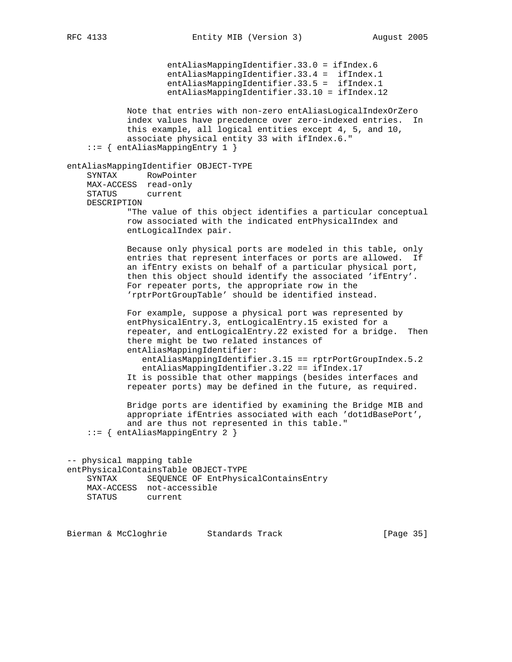entAliasMappingIdentifier.33.0 = ifIndex.6 entAliasMappingIdentifier.33.4 = ifIndex.1 entAliasMappingIdentifier.33.5 = ifIndex.1 entAliasMappingIdentifier.33.10 = ifIndex.12 Note that entries with non-zero entAliasLogicalIndexOrZero index values have precedence over zero-indexed entries. In this example, all logical entities except 4, 5, and 10, associate physical entity 33 with ifIndex.6." ::= { entAliasMappingEntry 1 } entAliasMappingIdentifier OBJECT-TYPE SYNTAX RowPointer MAX-ACCESS read-only STATUS current DESCRIPTION "The value of this object identifies a particular conceptual row associated with the indicated entPhysicalIndex and entLogicalIndex pair. Because only physical ports are modeled in this table, only entries that represent interfaces or ports are allowed. If an ifEntry exists on behalf of a particular physical port, then this object should identify the associated 'ifEntry'. For repeater ports, the appropriate row in the 'rptrPortGroupTable' should be identified instead. For example, suppose a physical port was represented by entPhysicalEntry.3, entLogicalEntry.15 existed for a repeater, and entLogicalEntry.22 existed for a bridge. Then there might be two related instances of entAliasMappingIdentifier: entAliasMappingIdentifier.3.15 == rptrPortGroupIndex.5.2 entAliasMappingIdentifier.3.22 == ifIndex.17 It is possible that other mappings (besides interfaces and repeater ports) may be defined in the future, as required. Bridge ports are identified by examining the Bridge MIB and appropriate ifEntries associated with each 'dot1dBasePort', and are thus not represented in this table." ::= { entAliasMappingEntry 2 } -- physical mapping table entPhysicalContainsTable OBJECT-TYPE SYNTAX SEQUENCE OF EntPhysicalContainsEntry MAX-ACCESS not-accessible STATUS current

Bierman & McCloghrie Standards Track [Page 35]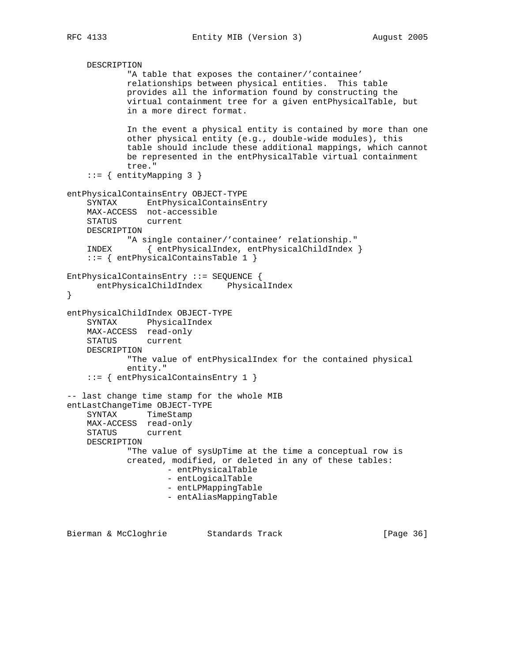```
 DESCRIPTION
             "A table that exposes the container/'containee'
            relationships between physical entities. This table
            provides all the information found by constructing the
            virtual containment tree for a given entPhysicalTable, but
            in a more direct format.
            In the event a physical entity is contained by more than one
            other physical entity (e.g., double-wide modules), this
            table should include these additional mappings, which cannot
            be represented in the entPhysicalTable virtual containment
            tree."
     ::= { entityMapping 3 }
entPhysicalContainsEntry OBJECT-TYPE
     SYNTAX EntPhysicalContainsEntry
    MAX-ACCESS not-accessible
   STATUS
    DESCRIPTION
            "A single container/'containee' relationship."
     INDEX { entPhysicalIndex, entPhysicalChildIndex }
     ::= { entPhysicalContainsTable 1 }
EntPhysicalContainsEntry ::= SEQUENCE {
      entPhysicalChildIndex PhysicalIndex
}
entPhysicalChildIndex OBJECT-TYPE
    SYNTAX PhysicalIndex
    MAX-ACCESS read-only
    STATUS current
    DESCRIPTION
             "The value of entPhysicalIndex for the contained physical
            entity."
     ::= { entPhysicalContainsEntry 1 }
-- last change time stamp for the whole MIB
entLastChangeTime OBJECT-TYPE
    SYNTAX TimeStamp
    MAX-ACCESS read-only
    STATUS current
    DESCRIPTION
            "The value of sysUpTime at the time a conceptual row is
            created, modified, or deleted in any of these tables:
                     - entPhysicalTable
                     - entLogicalTable
                     - entLPMappingTable
                     - entAliasMappingTable
```
Bierman & McCloghrie Standards Track [Page 36]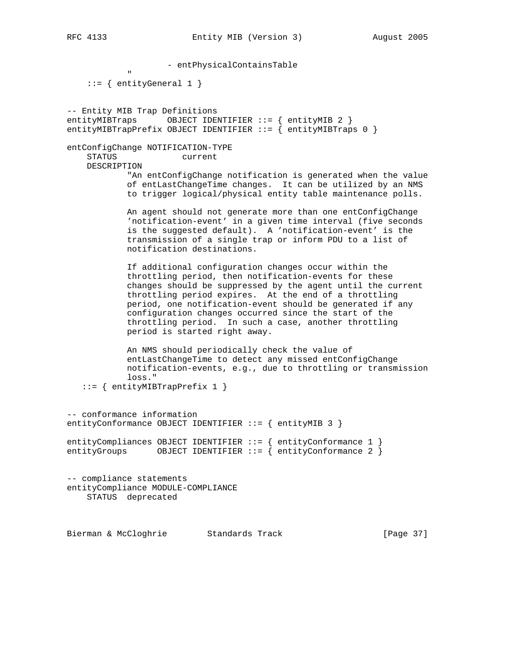- entPhysicalContainsTable

" "The Contract of the Contract of the Contract of the Contract of the Contract of the Contract of the Contract of the Contract of the Contract of the Contract of the Contract of the Contract of the Contract of the Contrac  $::=$  { entityGeneral 1 }

-- Entity MIB Trap Definitions entityMIBTraps OBJECT IDENTIFIER ::= { entityMIB 2 } entityMIBTrapPrefix OBJECT IDENTIFIER  $::=$  { entityMIBTraps 0 }

entConfigChange NOTIFICATION-TYPE STATUS current

DESCRIPTION

 "An entConfigChange notification is generated when the value of entLastChangeTime changes. It can be utilized by an NMS to trigger logical/physical entity table maintenance polls.

 An agent should not generate more than one entConfigChange 'notification-event' in a given time interval (five seconds is the suggested default). A 'notification-event' is the transmission of a single trap or inform PDU to a list of notification destinations.

 If additional configuration changes occur within the throttling period, then notification-events for these changes should be suppressed by the agent until the current throttling period expires. At the end of a throttling period, one notification-event should be generated if any configuration changes occurred since the start of the throttling period. In such a case, another throttling period is started right away.

 An NMS should periodically check the value of entLastChangeTime to detect any missed entConfigChange notification-events, e.g., due to throttling or transmission loss."

::= { entityMIBTrapPrefix 1 }

-- conformance information entityConformance OBJECT IDENTIFIER ::= { entityMIB 3 }

entityCompliances OBJECT IDENTIFIER ::= { entityConformance 1 } entityGroups OBJECT IDENTIFIER  $\cdot := \{$  entityConformance 2  $\}$ 

-- compliance statements entityCompliance MODULE-COMPLIANCE STATUS deprecated

Bierman & McCloghrie Standards Track [Page 37]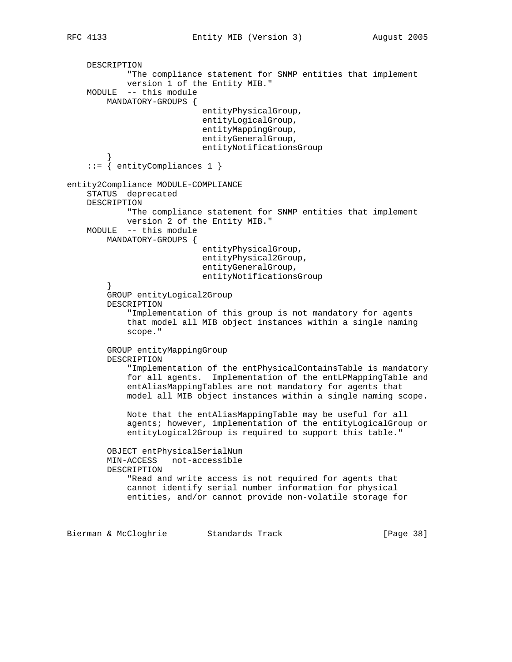```
 DESCRIPTION
             "The compliance statement for SNMP entities that implement
             version 1 of the Entity MIB."
     MODULE -- this module
         MANDATORY-GROUPS {
                            entityPhysicalGroup,
                            entityLogicalGroup,
                            entityMappingGroup,
                            entityGeneralGroup,
                            entityNotificationsGroup
 }
     ::= { entityCompliances 1 }
entity2Compliance MODULE-COMPLIANCE
     STATUS deprecated
     DESCRIPTION
             "The compliance statement for SNMP entities that implement
             version 2 of the Entity MIB."
     MODULE -- this module
         MANDATORY-GROUPS {
                            entityPhysicalGroup,
                            entityPhysical2Group,
                            entityGeneralGroup,
                            entityNotificationsGroup
 }
         GROUP entityLogical2Group
         DESCRIPTION
             "Implementation of this group is not mandatory for agents
             that model all MIB object instances within a single naming
             scope."
         GROUP entityMappingGroup
         DESCRIPTION
             "Implementation of the entPhysicalContainsTable is mandatory
             for all agents. Implementation of the entLPMappingTable and
             entAliasMappingTables are not mandatory for agents that
             model all MIB object instances within a single naming scope.
             Note that the entAliasMappingTable may be useful for all
             agents; however, implementation of the entityLogicalGroup or
             entityLogical2Group is required to support this table."
         OBJECT entPhysicalSerialNum
         MIN-ACCESS not-accessible
         DESCRIPTION
             "Read and write access is not required for agents that
             cannot identify serial number information for physical
             entities, and/or cannot provide non-volatile storage for
```
Bierman & McCloghrie Standards Track [Page 38]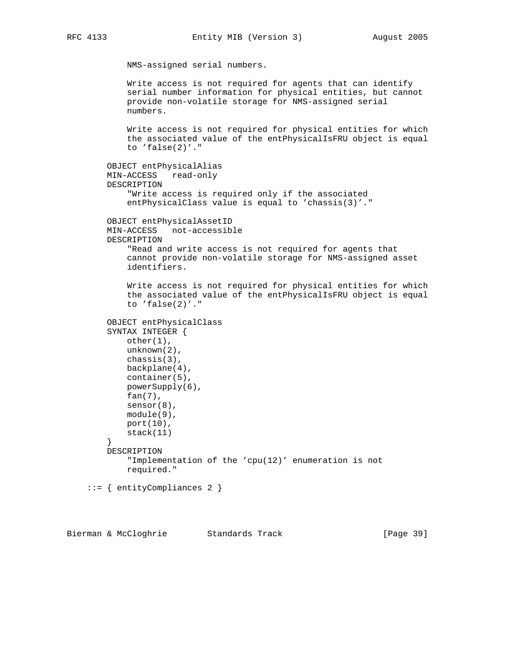```
 NMS-assigned serial numbers.
             Write access is not required for agents that can identify
             serial number information for physical entities, but cannot
             provide non-volatile storage for NMS-assigned serial
             numbers.
             Write access is not required for physical entities for which
             the associated value of the entPhysicalIsFRU object is equal
             to 'false(2)'."
        OBJECT entPhysicalAlias
        MIN-ACCESS read-only
        DESCRIPTION
             "Write access is required only if the associated
             entPhysicalClass value is equal to 'chassis(3)'."
        OBJECT entPhysicalAssetID
        MIN-ACCESS not-accessible
        DESCRIPTION
             "Read and write access is not required for agents that
             cannot provide non-volatile storage for NMS-assigned asset
             identifiers.
             Write access is not required for physical entities for which
             the associated value of the entPhysicalIsFRU object is equal
             to 'false(2)'."
        OBJECT entPhysicalClass
        SYNTAX INTEGER {
            other(1),
            unknown(2),
            chassis(3),
            backplane(4),
            container(5),
             powerSupply(6),
             fan(7),
            sensor(8),
             module(9),
             port(10),
            stack(11)
 }
        DESCRIPTION
             "Implementation of the 'cpu(12)' enumeration is not
             required."
     ::= { entityCompliances 2 }
```
Bierman & McCloghrie Standards Track [Page 39]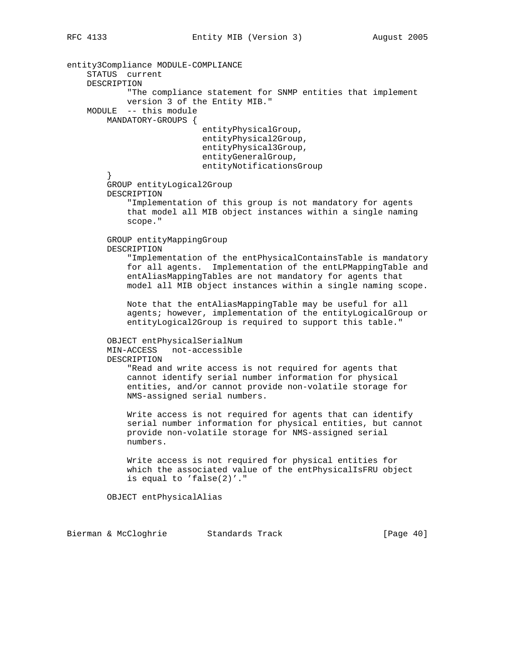entity3Compliance MODULE-COMPLIANCE STATUS current DESCRIPTION "The compliance statement for SNMP entities that implement version 3 of the Entity MIB." MODULE -- this module MANDATORY-GROUPS { entityPhysicalGroup, entityPhysical2Group, entityPhysical3Group, entityGeneralGroup, entityNotificationsGroup } GROUP entityLogical2Group DESCRIPTION "Implementation of this group is not mandatory for agents that model all MIB object instances within a single naming scope." GROUP entityMappingGroup DESCRIPTION "Implementation of the entPhysicalContainsTable is mandatory for all agents. Implementation of the entLPMappingTable and entAliasMappingTables are not mandatory for agents that model all MIB object instances within a single naming scope. Note that the entAliasMappingTable may be useful for all agents; however, implementation of the entityLogicalGroup or entityLogical2Group is required to support this table." OBJECT entPhysicalSerialNum MIN-ACCESS not-accessible DESCRIPTION "Read and write access is not required for agents that cannot identify serial number information for physical entities, and/or cannot provide non-volatile storage for NMS-assigned serial numbers. Write access is not required for agents that can identify serial number information for physical entities, but cannot provide non-volatile storage for NMS-assigned serial numbers. Write access is not required for physical entities for which the associated value of the entPhysicalIsFRU object is equal to 'false(2)'." OBJECT entPhysicalAlias

Bierman & McCloghrie Standards Track [Page 40]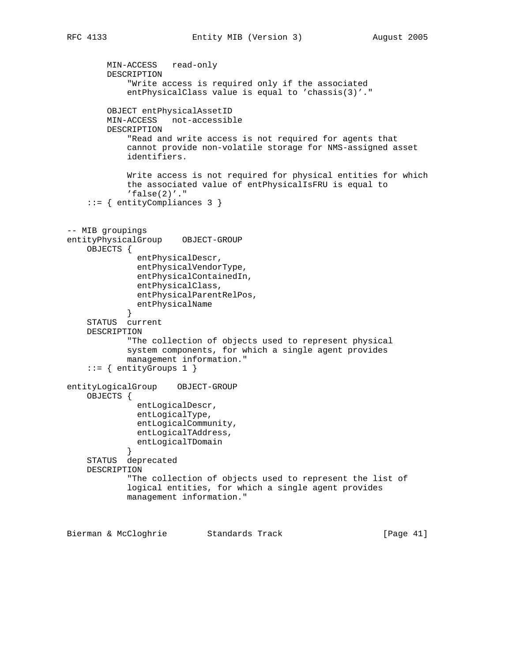```
 MIN-ACCESS read-only
        DESCRIPTION
             "Write access is required only if the associated
             entPhysicalClass value is equal to 'chassis(3)'."
         OBJECT entPhysicalAssetID
        MIN-ACCESS not-accessible
        DESCRIPTION
             "Read and write access is not required for agents that
             cannot provide non-volatile storage for NMS-assigned asset
             identifiers.
             Write access is not required for physical entities for which
             the associated value of entPhysicalIsFRU is equal to
            'false(2)'."
     ::= { entityCompliances 3 }
-- MIB groupings
entityPhysicalGroup OBJECT-GROUP
    OBJECTS {
               entPhysicalDescr,
               entPhysicalVendorType,
               entPhysicalContainedIn,
               entPhysicalClass,
               entPhysicalParentRelPos,
               entPhysicalName
 }
     STATUS current
    DESCRIPTION
             "The collection of objects used to represent physical
             system components, for which a single agent provides
             management information."
     ::= { entityGroups 1 }
entityLogicalGroup OBJECT-GROUP
    OBJECTS {
               entLogicalDescr,
               entLogicalType,
               entLogicalCommunity,
               entLogicalTAddress,
               entLogicalTDomain
 }
     STATUS deprecated
    DESCRIPTION
             "The collection of objects used to represent the list of
             logical entities, for which a single agent provides
             management information."
```
Bierman & McCloghrie Standards Track [Page 41]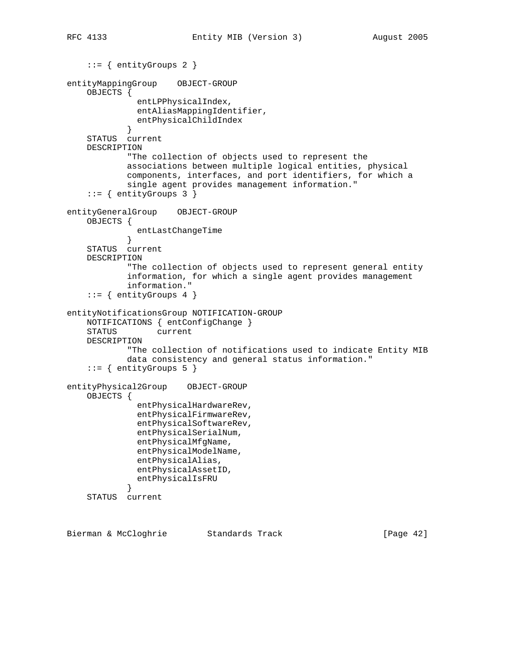```
 ::= { entityGroups 2 }
entityMappingGroup OBJECT-GROUP
     OBJECTS {
               entLPPhysicalIndex,
               entAliasMappingIdentifier,
              entPhysicalChildIndex
 }
     STATUS current
    DESCRIPTION
             "The collection of objects used to represent the
             associations between multiple logical entities, physical
             components, interfaces, and port identifiers, for which a
             single agent provides management information."
     ::= { entityGroups 3 }
entityGeneralGroup OBJECT-GROUP
    OBJECTS {
            entLastChangeTime<br>}
 }
     STATUS current
    DESCRIPTION
             "The collection of objects used to represent general entity
             information, for which a single agent provides management
            information."
    ::= { entityGroups 4 }
entityNotificationsGroup NOTIFICATION-GROUP
    NOTIFICATIONS { entConfigChange }
     STATUS current
    DESCRIPTION
            "The collection of notifications used to indicate Entity MIB
             data consistency and general status information."
     ::= { entityGroups 5 }
entityPhysical2Group OBJECT-GROUP
     OBJECTS {
               entPhysicalHardwareRev,
               entPhysicalFirmwareRev,
               entPhysicalSoftwareRev,
               entPhysicalSerialNum,
               entPhysicalMfgName,
               entPhysicalModelName,
               entPhysicalAlias,
               entPhysicalAssetID,
            entPhysicalIsFRU<br>}
 }
     STATUS current
```
Bierman & McCloghrie Standards Track [Page 42]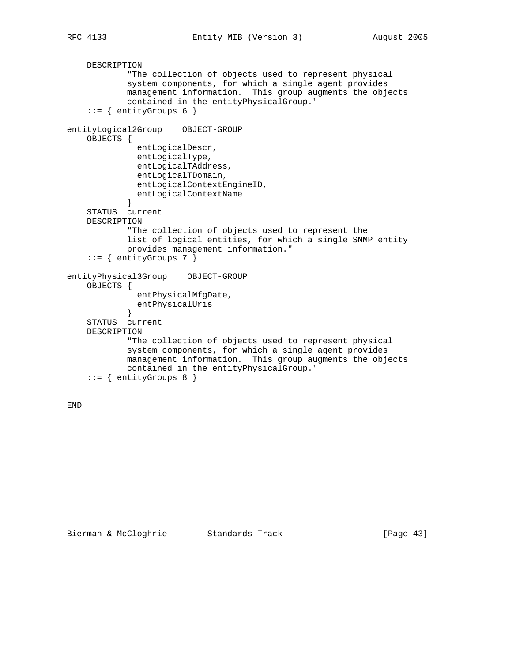```
 DESCRIPTION
             "The collection of objects used to represent physical
             system components, for which a single agent provides
             management information. This group augments the objects
             contained in the entityPhysicalGroup."
    ::= { entityGroups 6 }
entityLogical2Group OBJECT-GROUP
     OBJECTS {
               entLogicalDescr,
               entLogicalType,
               entLogicalTAddress,
               entLogicalTDomain,
               entLogicalContextEngineID,
            entLogicalContextName<br>}
 }
     STATUS current
    DESCRIPTION
             "The collection of objects used to represent the
             list of logical entities, for which a single SNMP entity
             provides management information."
     ::= { entityGroups 7 }
entityPhysical3Group OBJECT-GROUP
     OBJECTS {
               entPhysicalMfgDate,
              entPhysicalUris
 }
     STATUS current
     DESCRIPTION
             "The collection of objects used to represent physical
             system components, for which a single agent provides
             management information. This group augments the objects
             contained in the entityPhysicalGroup."
     ::= { entityGroups 8 }
```

```
END
```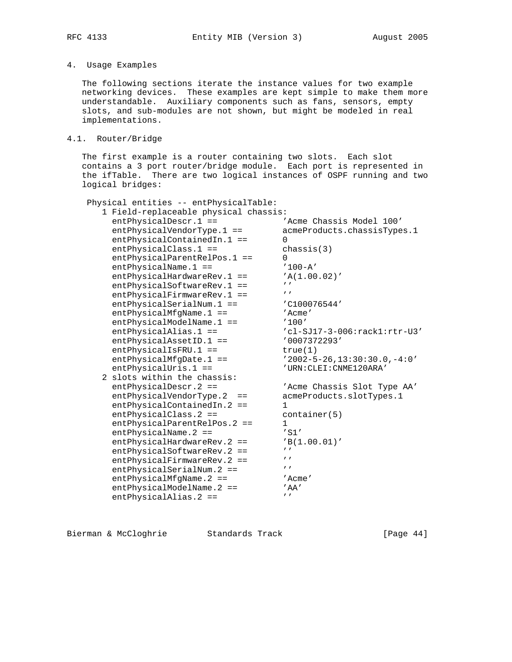# 4. Usage Examples

 The following sections iterate the instance values for two example networking devices. These examples are kept simple to make them more understandable. Auxiliary components such as fans, sensors, empty slots, and sub-modules are not shown, but might be modeled in real implementations.

# 4.1. Router/Bridge

 The first example is a router containing two slots. Each slot contains a 3 port router/bridge module. Each port is represented in the ifTable. There are two logical instances of OSPF running and two logical bridges:

| Physical entities -- entPhysicalTable:<br>1 Field-replaceable physical chassis: |                                     |
|---------------------------------------------------------------------------------|-------------------------------------|
| $entPhysicalDescri.1 ==$                                                        | 'Acme Chassis Model 100'            |
| $entPhysicalVendorType.1 ==$                                                    | acmeProducts.chassisTypes.1         |
| $entPhysicalContainerdim.1 ==$                                                  | U                                   |
| entPhysicalClass.1 ==                                                           | chassis(3)                          |
| entPhysicalParentRelPos.1 ==                                                    | $\Omega$                            |
| entPhysicalName.1 ==                                                            | $'100 - A'$                         |
| $entPhysicsicalHardwareRev.1 ==$                                                | 'A(1.00.02)'                        |
| entPhysicalSoftwareRev.1 ==                                                     | $\mathbf{r}$                        |
| $entPhysical FirmwareRev.1 ==$                                                  | $\prime$                            |
| entPhysicalSerialNum.1 ==                                                       | 'C100076544'                        |
| $entPhysicalMfgName.1 ==$                                                       | 'Acme'                              |
| $entPhysicalModelName.1 ==$                                                     | '100'                               |
| $entPhysicalalias.1 ==$                                                         | 'cl-SJ17-3-006:rack1:rtr-U3'        |
| $entPhysical AssetID.1 ==$                                                      | '0007372293'                        |
| $entPhysicalISFRU.1 ==$                                                         | true(1)                             |
| $entPhysicalMfgDate.1 ==$                                                       | $'2002 - 5 - 26, 13:30:30.0, -4:0'$ |
| $entPhysicalUris.1 ==$                                                          | 'URN: CLEI: CNME120ARA'             |
| 2 slots within the chassis:                                                     |                                     |
| $entPhysicsicalDescr.2 ==$                                                      | 'Acme Chassis Slot Type AA'         |
| entPhysicalVendorType.2<br>$==$                                                 | acmeProducts.slotTypes.1            |
| $entPhysicalContainerdim.2 ==$                                                  |                                     |
| $entPhysicalClass.2 ==$                                                         | contrainer(5)                       |
| $entPhysicalParentRelPos.2 ==$                                                  | 1                                   |
| $entPhysicalName.2 ==$                                                          | $'$ S1 $'$                          |
| entPhysicalHardwareRev.2 ==                                                     | 'B(1.00.01)'                        |
| $entPhysical SoftwareRev.2 ==$                                                  | $\mathbf{r}$                        |
| $entPhysical FirmwareRev.2 ==$                                                  | $^{\prime}$                         |
| entPhysicalSerialNum.2 ==                                                       | $^{\prime}$                         |
| entPhysicalMfgName.2 ==                                                         | 'Acme'                              |
| $entPhysicalModelName.2 ==$                                                     | 'AA'                                |
| $entPhysicalalias.2 ==$                                                         | $\mathbf{r}$                        |

Bierman & McCloghrie Standards Track [Page 44]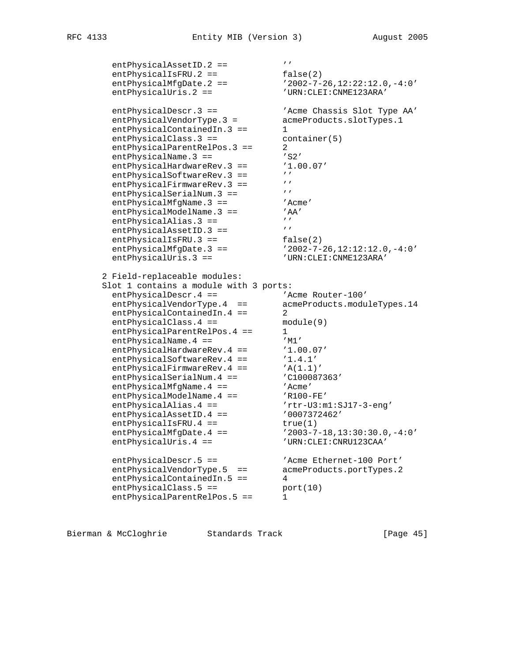```
entPhysicalAssetID.2 == 'entPhysicalIsFRU.2 == false(2)
 entPhysicalMfgDate.2 == '2002-7-26,12:22:12.0,-4:0'
 entPhysicalUris.2 == 'URN:CLEI:CNME123ARA'
 entPhysicalDescr.3 == 'Acme Chassis Slot Type AA'
 entPhysicalVendorType.3 = acmeProducts.slotTypes.1
entPhysicalContainedIn.3 == 1
entPhysicalClass.3 == container(5)
entPhysicalParentRelPos.3 == 2
entPhysicalName.3 == 'S2'
 entPhysicalHardwareRev.3 == '1.00.07'
entPhysicalSoftwareRev.3 == ''
entPhysicalFirmwareRev.3 == ''
entPhysicalSerialNum.3 == ''
entPhysicalMfgName.3 == 'Acme'
entPhysicalModelName.3 == 'AA'
entPhysicalAlias.3 == 'entPhysicalAssetID.3 == 'entPhysicalIsFRU.3 == false(2)
 entPhysicalMfgDate.3 == '2002-7-26,12:12:12.0,-4:0'
entPhysicalUris.3 == $^{\prime} URN:CLEI:CNME123ARA'
     2 Field-replaceable modules:
 Slot 1 contains a module with 3 ports:
entPhysicalDescr.4 == \blacksquare 'Acme Router-100'
 entPhysicalVendorType.4 == acmeProducts.moduleTypes.14
entPhysicalContainedIn.4 == 2
entPhysicalClass.4 == module(9)
entPhysicalParentRelPos.4 == 1
entPhysicalName.4 == 'M1'entPhysicalHardwareRev.4 == '1.00.07'entPhysicalSoftwareRev.4 == '1.4.1'entPhysicalFirmwareRev.4 == 'A(1.1)'
entPhysicalSerialNum.4 == \qquad 'C100087363'
entPhysicalMfgName.4 == 'Acme'
entPhysicalModelName.4 == 'R100-FE'
entPhysicalAlias.4 == rrtr-U3:m1:SJ17-3-eng'
entPhysicalAssetID.4 == 0007372462'entPhysicalIsFRU.4 == true(1)
 entPhysicalMfgDate.4 == '2003-7-18,13:30:30.0,-4:0'
 entPhysicalUris.4 == 'URN:CLEI:CNRU123CAA'
entPhysicalDescr.5 == \overline{A} 'Acme Ethernet-100 Port'
 entPhysicalVendorType.5 == acmeProducts.portTypes.2
 entPhysicalContainedIn.5 == 4
entPhysicalClass.5 == port(10)
entPhysicalParentRelPos.5 == 1
```
Bierman & McCloghrie Standards Track [Page 45]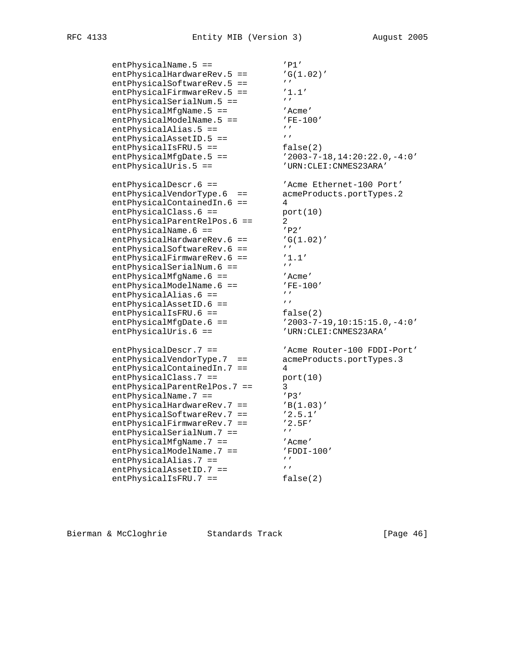```
entPhysicalName.5 == 'P1'entPhysicalHardwareRev.5 == G(1.02)'entPhysicalSoftwareRev.5 == 'entPhysicalFirmwareRev.5 == '1.1'entPhysicalSerialNum.5 == 'entPhysicalMfgName.5 == 'Acme'
entPhysicalModelName.5 == 'FE-100'
entPhysicalAlias.5 == 'entPhysicalAssetID.5 == 'entPhysicalIsFRU.5 == false(2)
 entPhysicalMfgDate.5 == '2003-7-18,14:20:22.0,-4:0'
 entPhysicalUris.5 == 'URN:CLEI:CNMES23ARA'
entPhysicalDescr.6 == \overline{A} 'Acme Ethernet-100 Port'
 entPhysicalVendorType.6 == acmeProducts.portTypes.2
 entPhysicalContainedIn.6 == 4
 entPhysicalClass.6 == port(10)
entPhysicalParentRelPos.6 == 2
entPhysicalName.6 == 'P2'entPhysicalHardwareRev.6 == G(1.02)'entPhysicalSoftwareRev.6 == 'entPhysicalFirmwareRev.6 == '1.1'entPhysicalSerialNum.6 == 'entPhysicalMfgName.6 == 'Acme'
entPhysicalModelName.6 == 'FE-100'
entPhysicalAlias.6 == 'entPhysicalAssetID.6 == 'entPhysicalIsFRU.6 == false(2)
 entPhysicalMfgDate.6 == '2003-7-19,10:15:15.0,-4:0'
 entPhysicalUris.6 == 'URN:CLEI:CNMES23ARA'
 entPhysicalDescr.7 == 'Acme Router-100 FDDI-Port'
 entPhysicalVendorType.7 == acmeProducts.portTypes.3
 entPhysicalContainedIn.7 == 4
entPhysicalClass.7 == port(10)
entPhysicalParentRelPos.7 == 3
entPhysicalName.7 == 'P3'entPhysicalHardwareRev.7 == 'B(1.03)'
entPhysicalSoftwareRev.7 == '2.5.1'entPhysicalFirmwareRev.7 == '2.5F'
entPhysicalSerialNum.7 == 'entPhysicalMfgName.7 == 'Acme'
entPhysicalModelName.7 == \blacksquare 'FDDI-100'
entPhysicalAlias.7 == 'entPhysicalAssetID.7 == 'entPhysicalIsFRU.7 == false(2)
```
Bierman & McCloghrie Standards Track [Page 46]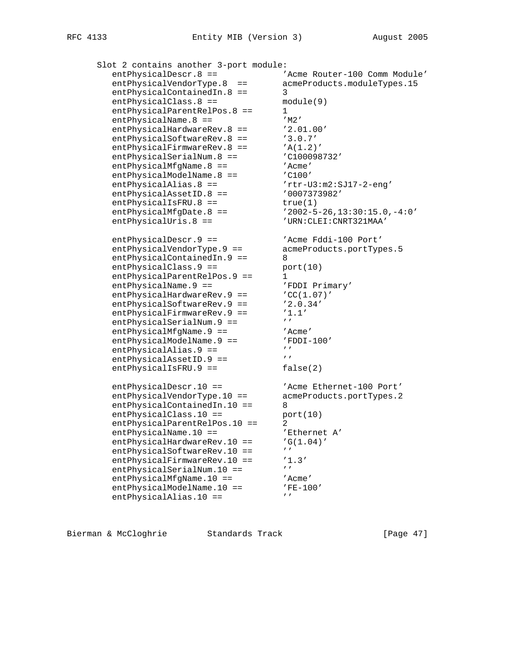| Slot 2 contains another 3-port module: |                                     |  |  |
|----------------------------------------|-------------------------------------|--|--|
| entPhysicalDescr.8 ==                  | 'Acme Router-100 Comm Module'       |  |  |
| entPhysicalVendorType.8<br>$=$ $=$     | acmeProducts.moduleTypes.15         |  |  |
| entPhysicalContainedIn.8 ==            | 3                                   |  |  |
| entPhysicalClass.8 ==                  | module(9)                           |  |  |
| entPhysicalParentRelPos.8 ==           | 1                                   |  |  |
| $entPhysicalName.8 ==$                 | $^{\prime}$ M2 $^{\prime}$          |  |  |
| entPhysicalHardwareRev.8 ==            | '2.01.00'                           |  |  |
| entPhysicalSoftwareRev.8 ==            | '3.0.7'                             |  |  |
| entPhysicalFirmwareRev.8 ==            | 'A(1.2)'                            |  |  |
| entPhysicalSerialNum.8 ==              | 'C100098732'                        |  |  |
| $entPhysicalMfgName.8 ==$              | 'Acme'                              |  |  |
| entPhysicalModelName.8 ==              | $'$ C $100'$                        |  |  |
| $entPhysicalalias.8 ==$                | $'$ rtr-U3:m2:SJ17-2-eng'           |  |  |
| entPhysicalAssetID.8 ==                | '0007373982'                        |  |  |
| entPhysicalIsFRU.8 ==                  | true(1)                             |  |  |
| $entPhysicalMfgDate.8 ==$              | $'2002 - 5 - 26, 13:30:15.0, -4:0'$ |  |  |
|                                        |                                     |  |  |
| entPhysicalUris.8 ==                   | 'URN: CLEI: CNRT321MAA'             |  |  |
| entPhysicalDescr.9 ==                  | 'Acme Fddi-100 Port'                |  |  |
| entPhysicalVendorType.9 ==             | acmeProducts.portTypes.5            |  |  |
| entPhysicalContainedIn.9 ==            | 8                                   |  |  |
| entPhysicalClass.9 ==                  | port(10)                            |  |  |
| entPhysicalParentRelPos.9 ==           | 1                                   |  |  |
| entPhysicalName.9 ==                   | 'FDDI Primary'                      |  |  |
| entPhysicalHardwareRev.9 ==            | 'CC(1.07)'                          |  |  |
| entPhysicalSoftwareRev.9 ==            | '2.0.34'                            |  |  |
| entPhysicalFirmwareRev.9 ==            | '1.1'                               |  |  |
| entPhysicalSerialNum.9 ==              | $\mathbf{r}$                        |  |  |
| $entPhysicalMfgName.9 ==$              | 'Acme'                              |  |  |
| entPhysicalModelName.9 ==              | $'$ FDDI-100 $'$                    |  |  |
| entPhysicalAlias.9 ==                  | $\mathbf{r}$                        |  |  |
| entPhysicalAssetID.9 ==                | $\mathbf{r}$                        |  |  |
| entPhysicalIsFRU.9 ==                  | false(2)                            |  |  |
|                                        |                                     |  |  |
| entPhysicalDescr.10 ==                 | 'Acme Ethernet-100 Port'            |  |  |
| entPhysicalVendorType.10 ==            | acmeProducts.portTypes.2            |  |  |
| entPhysicalContainedIn.10 ==           | 8                                   |  |  |
| entPhysicalClass.10 ==                 | port(10)                            |  |  |
| entPhysicalParentRelPos.10 ==          | 2                                   |  |  |
| entPhysicalName.10 ==                  | 'Ethernet A'                        |  |  |
| entPhysicalHardwareRev.10 ==           | 'G(1.04)'                           |  |  |
| entPhysicalSoftwareRev.10<br>$=$       | $\mathbf{r}$                        |  |  |
| entPhysicalFirmwareRev.10 ==           | '1.3'                               |  |  |
| entPhysicalSerialNum.10 ==             | $\mathbf{r}$                        |  |  |
| $entPhysicalMfgName.10 ==$             | 'Acme'                              |  |  |
| entPhysicalModelName.10 ==             | 'FE-100'                            |  |  |
| entPhysicalAlias.10 ==                 | $\mathbf{r}$                        |  |  |
|                                        |                                     |  |  |

Bierman & McCloghrie Standards Track [Page 47]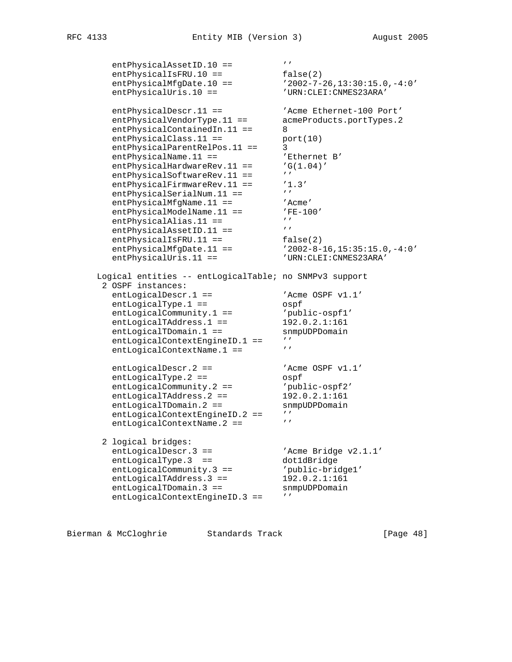```
entPhysicalAssetID.10 == 'entPhysicalIsFRU.10 == false(2)
 entPhysicalMfgDate.10 == '2002-7-26,13:30:15.0,-4:0'
 entPhysicalUris.10 == 'URN:CLEI:CNMES23ARA'
entPhysicalDescr.11 == \qquad 'Acme Ethernet-100 Port'
 entPhysicalVendorType.11 == acmeProducts.portTypes.2
entPhysicalContainedIn.11 == 8
entPhysicalClass.11 == port(10)
 entPhysicalParentRelPos.11 == 3
entPhysicalName.11 == \overline{B} 'Ethernet B'
entPhysicalHardwareRev.11 == 'G(1.04)'
entPhysicalSoftwareRev.11 == ''
entPhysicalFirmwareRev.11 == '1.3'
entPhysicalSerialNum.11 == 'entPhysicalMfgName.11 == 'Acme'
entPhysicalModelName.11 == 'FE-100'
entPhysicalAlias.11 == 'entPhysicalAssetID.11 == 'entPhysicalIsFRU.11 == false(2)
 entPhysicalMfgDate.11 == '2002-8-16,15:35:15.0,-4:0'
 entPhysicalUris.11 == 'URN:CLEI:CNMES23ARA'
     Logical entities -- entLogicalTable; no SNMPv3 support
     2 OSPF instances:
entLogicalDescr.1 == 'Acme OSPF v1.1'
entLogicalType.1 == 0spf
entLogicalCommunity.1 == 'public - ospf1' entLogicalTAddress.1 == 192.0.2.1:161
entLogicalTDomain.1 == snmpUDPDomain
entLogicalContextEngineID.1 == ''
entLogicalContextName.1 == 'entLogicalDescr.2 == \blacksquare 'Acme OSPF v1.1'
entLogicalType.2 == 0spf
entLogicalCommunity.2 == 'public - ospf2'entLogicalTAddress.2 == 192.0.2.1:161
entLogicalTDomain.2 == snmpUDPDomain
entLogicalContextEngineID.2 == ''
entLogicalContextName.2 == ' 2 logical bridges:
entLogicalDescr.3 == \qquad \qquad 'Acme Bridge v2.1.1'
entLogicalType.3 == dot1dBridge
 entLogicalCommunity.3 == 'public-bridge1'
entLogicalTAddress.3 == 192.0.2.1:161
entLogicalTDomain.3 == snmpUDPDomain
entLogicalContextEngineID.3 == ''
```
Bierman & McCloghrie Standards Track [Page 48]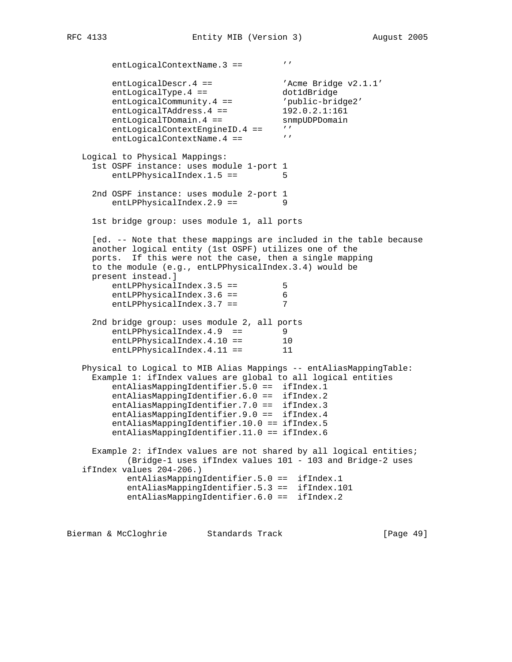entLogicalContextName.3 == '' entLogicalDescr.4 ==  $\qquad \qquad$  'Acme Bridge v2.1.1' entLogicalType.4 == dot1dBridge entLogicalCommunity.4 == 'public-bridge2' entLogicalTAddress.4 == 192.0.2.1:161 entLogicalTDomain.4 == snmpUDPDomain entLogicalContextEngineID.4 == '' entLogicalContextName.4 ==  $'$  Logical to Physical Mappings: 1st OSPF instance: uses module 1-port 1 entLPPhysicalIndex.1.5 == 5 2nd OSPF instance: uses module 2-port 1 entLPPhysicalIndex.2.9 == 9 1st bridge group: uses module 1, all ports [ed. -- Note that these mappings are included in the table because another logical entity (1st OSPF) utilizes one of the ports. If this were not the case, then a single mapping to the module (e.g., entLPPhysicalIndex.3.4) would be present instead.] entLPPhysicalIndex.3.5 == 5 entLPPhysicalIndex.3.6 == 6 entLPPhysicalIndex.3.7 == 7 2nd bridge group: uses module 2, all ports entLPPhysicalIndex.4.9 == 9<br>entLPPhysicalIndex.4.10 == 10 entLPPhysicalIndex.4.10 == 10 entLPPhysicalIndex.4.11 == 11 Physical to Logical to MIB Alias Mappings -- entAliasMappingTable: Example 1: ifIndex values are global to all logical entities entAliasMappingIdentifier.5.0 == ifIndex.1 entAliasMappingIdentifier.6.0 == ifIndex.2 entAliasMappingIdentifier.7.0 == ifIndex.3 entAliasMappingIdentifier.9.0 == ifIndex.4 entAliasMappingIdentifier.10.0 == ifIndex.5 entAliasMappingIdentifier.11.0 == ifIndex.6 Example 2: ifIndex values are not shared by all logical entities; (Bridge-1 uses ifIndex values 101 - 103 and Bridge-2 uses ifIndex values 204-206.) entAliasMappingIdentifier.5.0 == ifIndex.1 entAliasMappingIdentifier.5.3 == ifIndex.101 entAliasMappingIdentifier.6.0 == ifIndex.2

Bierman & McCloghrie Standards Track [Page 49]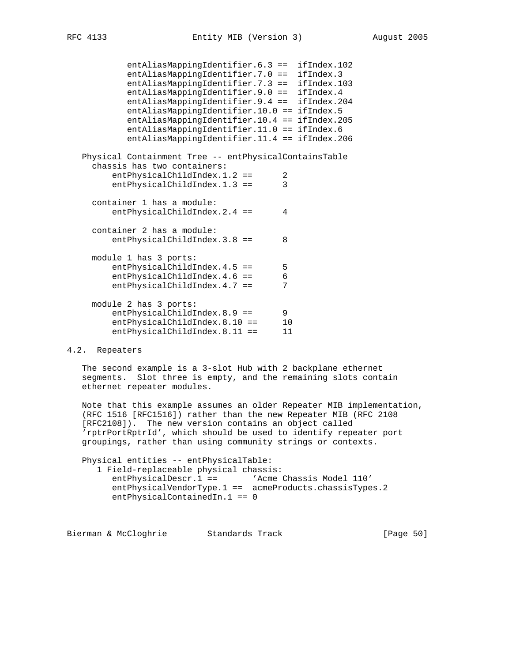```
 entAliasMappingIdentifier.6.3 == ifIndex.102
           entAliasMappingIdentifier.7.0 == ifIndex.3
 entAliasMappingIdentifier.7.3 == ifIndex.103
 entAliasMappingIdentifier.9.0 == ifIndex.4
           entAliasMappingIdentifier.9.4 == ifIndex.204
           entAliasMappingIdentifier.10.0 == ifIndex.5
           entAliasMappingIdentifier.10.4 == ifIndex.205
           entAliasMappingIdentifier.11.0 == ifIndex.6
           entAliasMappingIdentifier.11.4 == ifIndex.206
   Physical Containment Tree -- entPhysicalContainsTable
     chassis has two containers:
        entPhysicalChildIndex.1.2 == 2
       entPhysicalChildIndex.1.3 == 3
     container 1 has a module:
       entPhysicalChildIndex.2.4 == 4
     container 2 has a module:
       entPhysicalChildIndex.3.8 == 8
     module 1 has 3 ports:
entPhysicalChildIndex.4.5 == 5
entPhysicalChildIndex.4.6 == 6
       entPhysicalChildIndex.4.7 == 7
     module 2 has 3 ports:
entPhysicalChildIndex.8.9 == 9
entPhysicalChildIndex.8.10 == 10
       entPhysicalChildIndex.8.11 == 11
```
#### 4.2. Repeaters

 The second example is a 3-slot Hub with 2 backplane ethernet segments. Slot three is empty, and the remaining slots contain ethernet repeater modules.

 Note that this example assumes an older Repeater MIB implementation, (RFC 1516 [RFC1516]) rather than the new Repeater MIB (RFC 2108 [RFC2108]). The new version contains an object called 'rptrPortRptrId', which should be used to identify repeater port groupings, rather than using community strings or contexts.

 Physical entities -- entPhysicalTable: 1 Field-replaceable physical chassis: entPhysicalDescr.1 == 'Acme Chassis Model 110' entPhysicalVendorType.1 == acmeProducts.chassisTypes.2 entPhysicalContainedIn.1 == 0

Bierman & McCloghrie Standards Track [Page 50]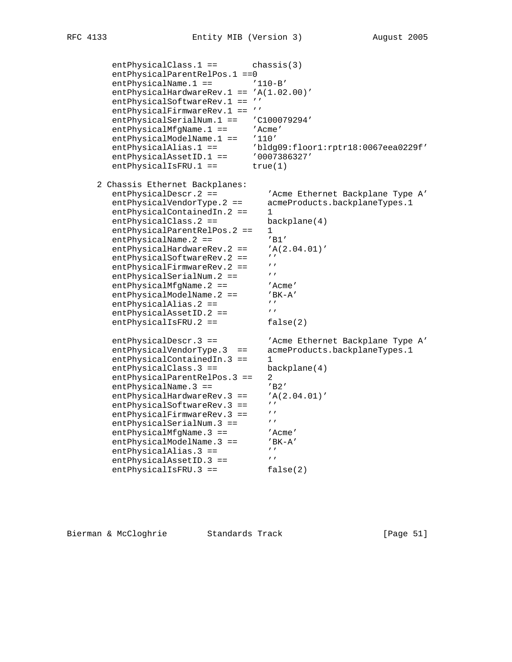entPhysicalClass.1 == chassis(3) entPhysicalParentRelPos.1 ==0 entPhysicalName.1 ==  $'110-B'$ entPhysicalHardwareRev.1 == 'A(1.02.00)' entPhysicalSoftwareRev.1 == '' entPhysicalFirmwareRev.1 == '' entPhysicalSerialNum.1 == 'C100079294' entPhysicalMfgName.1 == 'Acme' entPhysicalModelName.1 == '110' entPhysicalAlias.1 == 'bldg09:floor1:rptr18:0067eea0229f' entPhysicalAssetID.1 == '0007386327' entPhysicalIsFRU.1 == true(1) 2 Chassis Ethernet Backplanes: entPhysicalDescr.2 == 'Acme Ethernet Backplane Type A' entPhysicalVendorType.2 == acmeProducts.backplaneTypes.1 entPhysicalContainedIn.2 == 1 entPhysicalClass.2 == backplane(4) entPhysicalParentRelPos.2 == 1 entPhysicalName.2 ==  $'BI'$ entPhysicalHardwareRev.  $2 ==$  'A(2.04.01)'<br>entPhysicalSoftwareRev.  $2 ==$  '' entPhysicalSoftwareRev.2 == ''<br>entPhysicalFirmwareRev.2 == '' entPhysicalFirmwareRev.2 == entPhysicalSerialNum.2 == '' entPhysicalMfgName.2 == 'Acme' entPhysicalModelName.2 == 'BK-A' entPhysicalAlias.2 == '''<br>entPhysicalAlias.2 == '''<br>entPhysicalAssetID 2 -- ''' entPhysicalAssetID.2 ==  $'$ entPhysicalIsFRU.2 == false(2) entPhysicalDescr.3 == 'Acme Ethernet Backplane Type A' entPhysicalVendorType.3 == acmeProducts.backplaneTypes.1 entPhysicalContainedIn.3 == 1 entPhysicalClass.3 == backplane(4) entPhysicalParentRelPos.3 == 2 entPhysicalName.3 == 'B2' entPhysicalHardwareRev.3 ==  $'A(2.04.01)'$ <br>ontPhysicalSoftwarePoy 3 ==  $'$ entPhysicalSoftwareRev.3 == ''<br>ontPhysicalFirmwarePoy 3 == '' entPhysicalFirmwareRev.3 == ''<br>entPhysicalSerialNum 3 -- ''' entPhysicalSerialNum.3 == ''<br>entPhysicalMfqName.3 == 'Acme' entPhysicalMfgName.3 == 'Acme' entPhysicalModelName.3 == 'BK-A' entPhysicalAlias.3 == '''<br>entPhysicalAssetID 3 == ''' entPhysicalAssetID.3 == entPhysicalIsFRU.3 == false(2)

Bierman & McCloghrie Standards Track [Page 51]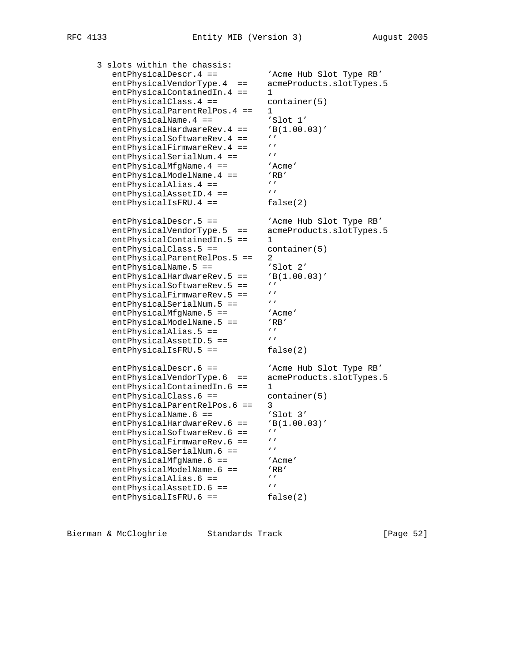| 3 slots within the chassis:        |                                            |
|------------------------------------|--------------------------------------------|
| entPhysicalDescr.4 ==              | 'Acme Hub Slot Type RB'                    |
| entPhysicalVendorType.4<br>$=$ $=$ | acmeProducts.slotTypes.5                   |
| $entPhysicalContainerdim.4 ==$     | 1                                          |
| entPhysicalClass.4 ==              | container(5)                               |
| entPhysicalParentRelPos.4 ==       | 1                                          |
| $entPhysicalName.4 ==$             | 'Slot 1'                                   |
| entPhysicalHardwareRev.4 ==        | 'B(1.00.03)'                               |
| entPhysicalSoftwareRev.4 ==        |                                            |
| entPhysicalFirmwareRev.4 ==        |                                            |
| entPhysicalSerialNum.4 ==          | $^{\prime}$                                |
| $entPhysicalMfgName.4 ==$          |                                            |
|                                    | 'Acme'                                     |
| entPhysicalModelName.4 ==          | $^{\prime}$ RB $^{\prime}$<br>$\mathbf{r}$ |
| $entPhysicalalias.4 ==$            |                                            |
| entPhysicalAssetID.4 ==            |                                            |
| entPhysicalIsFRU.4 ==              | false(2)                                   |
| $entPhysicalDescri.5 ==$           | 'Acme Hub Slot Type RB'                    |
| entPhysicalVendorType.5<br>$=$ $=$ | acmeProducts.slotTypes.5                   |
| $entPhysicalContainerdim.5 ==$     | 1                                          |
| entPhysicalClass.5 ==              | contrainer(5)                              |
| entPhysicalParentRelPos.5 ==       | 2                                          |
| $entPhysicalName.5 ==$             | 'Slot 2'                                   |
| entPhysicalHardwareRev.5<br>$==$   | 'B(1.00.03)'                               |
| entPhysicalSoftwareRev.5 ==        | $^{\prime}$                                |
| $entPhysical FirmwareRev.5 ==$     | $^{\prime}$                                |
| entPhysicalSerialNum.5 ==          |                                            |
| entPhysicalMfgName.5 ==            | 'Acme'                                     |
| $entPhysicalModelName.5 ==$        | $'$ RB $'$                                 |
| $entPhysicalalias.5 ==$            | $^{\prime}$                                |
| entPhysicalAssetID.5 ==            | $\mathbf{r}$                               |
| $entPhysicalISFRU.5 ==$            | false(2)                                   |
|                                    |                                            |
| entPhysicalDescr.6 ==              | 'Acme Hub Slot Type RB'                    |
| entPhysicalVendorType.6<br>$=$ $=$ | acmeProducts.slotTypes.5                   |
| $entPhysicalContainerdim.6 ==$     | 1                                          |
| entPhysicalClass.6 ==              | contrainer(5)                              |
| entPhysicalParentRelPos.6 ==       | 3                                          |
| entPhysicalName.6 ==               | 'Slot 3'                                   |
| entPhysicalHardwareRev.6 ==        | 'B(1.00.03)'                               |
| entPhysicalSoftwareRev.6 ==        | $^{\prime}$                                |
| entPhysicalFirmwareRev.6 ==        | $\mathbf{r}$                               |
| entPhysicalSerialNum.6 ==          | $\prime$                                   |
| $entPhysicalMfgName.6 ==$          | 'Acme'                                     |
| entPhysicalModelName.6 ==          | 'RB'                                       |
| entPhysicalAlias.6 ==              | $\mathbf{r}$                               |
| entPhysicalAssetID.6 ==            | $\mathbf{r}$                               |
| entPhysicalIsFRU.6 ==              | false(2)                                   |
|                                    |                                            |

Bierman & McCloghrie Standards Track (Page 52)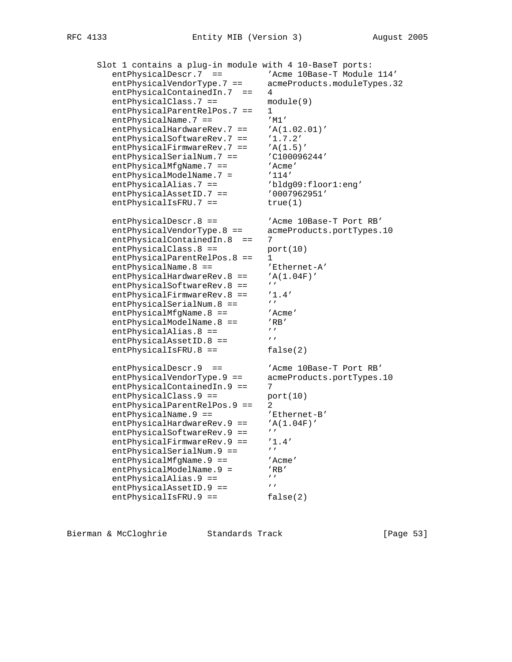Slot 1 contains a plug-in module with 4 10-BaseT ports: entPhysicalDescr.7 == 'Acme 10Base-T Module 114' entPhysicalVendorType.7 == acmeProducts.moduleTypes.32 entPhysicalContainedIn.7 == 4<br>entPhysicalClass.7 == module(9)  $entPhysicsicalClass.7 ==$ entPhysicalParentRelPos.7 == 1 entPhysicalName.7 == 'M1' entPhysicalHardwareRev.7 == 'A(1.02.01)' entPhysicalSoftwareRev.7 == '1.7.2' entPhysicalFirmwareRev.7 == 'A(1.5)' entPhysicalSerialNum.7 == 'C100096244' entPhysicalMfgName.7 == 'Acme' entPhysicalModelName.7 = '114' entPhysicalAlias.7 == 'bldg09:floor1:eng' entPhysicalAssetID.7 ==  $'0007962951'$ entPhysicalIsFRU.7 == true(1) entPhysicalDescr.8 == 'Acme 10Base-T Port RB' entPhysicalVendorType.8 == acmeProducts.portTypes.10 entPhysicalContainedIn.8 == 7  $entPhysicalClass.8 == port(10)$ entPhysicalParentRelPos.8 == 1 entPhysicalName.8 == 'Ethernet-A' entPhysicalHardwareRev.8 ==  $'A(1.04F)'$ <br>antPhysicalSoftwareRev.8 ==  $'$ entPhysicalSoftwareRev.8 == ''<br>entPhysicalFirmwareRev.8 == '1.4' entPhysicalFirmwareRev.8 == '1.<br>entPhysicalSerialNum 8 == ''' entPhysicalSerialNum.8 == '''<br>entPhysicalMfqName.8 == ''Acme' entPhysicalMfgName.8 == 'Acme' entPhysicalModelName.8 == 'RB' entPhysicalAlias.8 == '''<br>entPhysicalAlias.8 == '''<br>entPhysicalAssetID.8 == ''' entPhysicalAssetID.8 == ''<br>entPhysicalIsFRU.8 == false(2) entPhysicalIsFRU.8 == entPhysicalDescr.9 == 'Acme 10Base-T Port RB' entPhysicalVendorType.9 == acmeProducts.portTypes.10 entPhysicalContainedIn.9 == 7 entPhysicalClass.9 == port(10) entPhysicalParentRelPos.9 == 2 entPhysicalName.9 ==  $\blacksquare$ 'Ethernet-B' entPhysicalHardwareRev.9 ==  $'A(1.04F)'$ <br>antPhysicalSoftwareRev.9 ==  $'$ entPhysicalSoftwareRev.9 == entPhysicalFirmwareRev.9 == '1.4'<br>ontPhysicalSoxialNum 0 == ''' entPhysicalSerialNum.9 == entPhysicalMfgName.9 == 'Acme' entPhysicalModelName.9 = 'RB' entPhysicalAlias.9 == ''' entPhysicalAssetID.9 ==  $'$ entPhysicalIsFRU.9 == false(2)

Bierman & McCloghrie Standards Track [Page 53]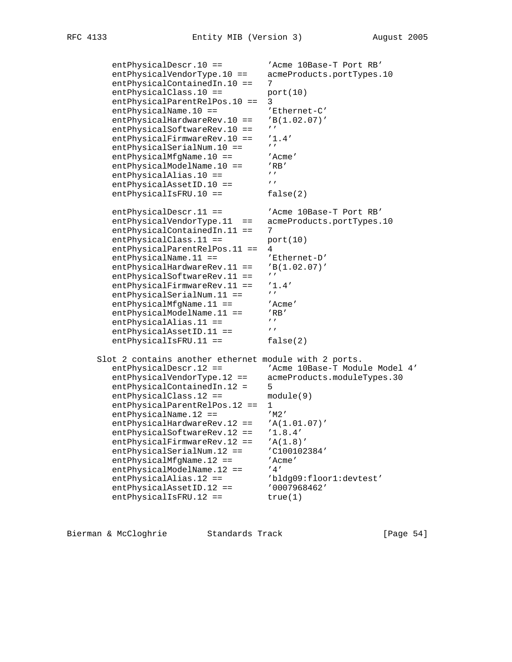entPhysicalDescr.10 == 'Acme 10Base-T Port RB' entPhysicalVendorType.10 == acmeProducts.portTypes.10 entPhysicalContainedIn.10 == 7  $entPhysicalClass.10 == port(10)$  entPhysicalParentRelPos.10 == 3 entPhysicalName.10 == 'Ethernet-C' entPhysicalHardwareRev.10 == 'B(1.02.07)'<br>entPhysicalSoftwareRev.10 == '' entPhysicalSoftwareRev.10 == entPhysicalFirmwareRev.10 == '1.4'<br>entPhysicalSerialNum.10 == '' entPhysicalSerialNum.10 == ''<br>entPhysicalMfqName.10 == 'Acme' entPhysicalMfgName.10 == 'Acm<br>entPhysicalModelName.10 == 'RB' entPhysicalModelName.10 ==  $'$ RI<br>entPhysicalAlias 10 --  $'$ entPhysicalAlias.10 ==  $^{\prime\prime}$ <br>entPhysicalAssetID 10 ==  $^{\prime\prime}$ entPhysicalAssetID.10 == ''<br>entPhysicalIsFRU.10 == false(2)  $entPhysicalISFRU.10 ==$ entPhysicalDescr.11 == 'Acme 10Base-T Port RB' entPhysicalVendorType.11 == acmeProducts.portTypes.10 entPhysicalContainedIn.11 == 7  $entPhysicalClass.11 == port(10)$  entPhysicalParentRelPos.11 == 4 entPhysicalName.11 == 'Ethernet-D' entPhysicalHardwareRev.11 == 'B(1.02.07)' entPhysicalSoftwareRev.11 == ''<br>entPhysicalFirmwareRev.11 == '1.4' entPhysicalFirmwareRev.11 == '1.<br>entPhysicalSerialNum 11 == '' entPhysicalSerialNum.11 == ''<br>entPhysicalMfqName.11 == 'Acme' entPhysicalMfgName.11 == 'Acme' entPhysicalModelName.11 == 'RB' entPhysicalAlias.11 == '''<br>entPhysicalAssetID 11 == ''' entPhysicalAssetID.11 == entPhysicalIsFRU.11 == false(2) Slot 2 contains another ethernet module with 2 ports. entPhysicalDescr.12 == 'Acme 10Base-T Module Model 4' entPhysicalVendorType.12 == acmeProducts.moduleTypes.30 entPhysicalContainedIn.12 = 5 entPhysicalClass.12 == module(9) entPhysicalParentRelPos.12 == 1 entPhysicalName.12 == 'M2' entPhysicalHardwareRev.12 ==  $'A(1.01.07)'$ <br>entPhysicalSoftwareRev.12 ==  $'1.8.4'$ entPhysicalSoftwareRev.12 == entPhysicalFirmwareRev.12 == 'A(1.8)' entPhysicalSerialNum.12 == 'C100102384' entPhysicalMfgName.12 == 'Acme' entPhysicalModelName.12 == '4' entPhysicalAlias.12 == 'bldg09:floor1:devtest' entPhysicalAssetID.12 == '0007968462' entPhysicalIsFRU.12 == true(1)

Bierman & McCloghrie Standards Track [Page 54]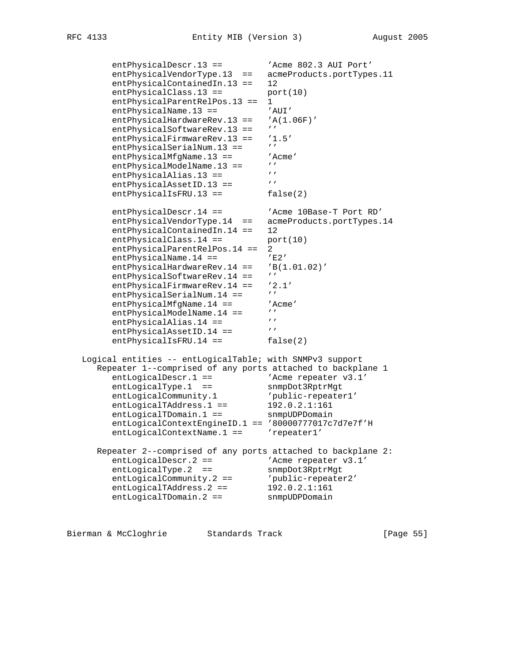entPhysicalDescr.13 == 'Acme 802.3 AUI Port' entPhysicalVendorType.13 == acmeProducts.portTypes.11 entPhysicalContainedIn.13 == 12  $entPhysicalClass.13 ==$  port(10) entPhysicalParentRelPos.13 == 1 entPhysicalName.13 == 'AUI' entPhysicalHardwareRev.13 == 'A(1.06F)' entPhysicalSoftwareRev.13 == '' entPhysicalFirmwareRev.13 == '1.5' entPhysicalSerialNum.13 == '' entPhysicalMfgName.13 == 'Acme' entPhysicalModelName.13 == '' entPhysicalAlias.13 == '' entPhysicalAssetID.13 == ''  $entPhysicalISFRU.13 ==$   $false(2)$ entPhysicalDescr.14 == 'Acme 10Base-T Port RD' entPhysicalVendorType.14 == acmeProducts.portTypes.14 entPhysicalContainedIn.14 == 12  $entPhysicalClass.14 == port(10)$  entPhysicalParentRelPos.14 == 2 entPhysicalName.14 == 'E2' entPhysicalHardwareRev.14 == 'B(1.01.02)' entPhysicalSoftwareRev.14 == '' entPhysicalFirmwareRev.14 == '2.1'<br>entPhysicalSerialNum 14 == '' entPhysicalSerialNum.14 == '' entPhysicalMfgName.14 == 'Acme' entPhysicalModelName.14 == '' entPhysicalAlias.14 == ''' entPhysicalAssetID.14 == ''  $entPhysicalISFRU.14 ==$   $false(2)$  Logical entities -- entLogicalTable; with SNMPv3 support Repeater 1--comprised of any ports attached to backplane 1 entLogicalDescr.1 ==  $\blacksquare$  'Acme repeater v3.1' entLogicalType.1 == snmpDot3RptrMgt entLogicalCommunity.1 'public-repeater1' entLogicalTAddress.1 == 192.0.2.1:161 entLogicalTDomain.1 == snmpUDPDomain entLogicalContextEngineID.1 == '80000777017c7d7e7f'H entLogicalContextName.1 == 'repeater1' Repeater 2--comprised of any ports attached to backplane 2: entLogicalDescr.2 ==  $\blacksquare$  'Acme repeater v3.1' entLogicalType.2 == snmpDot3RptrMgt entLogicalCommunity.2 == 'public-repeater2' entLogicalTAddress.2 == 192.0.2.1:161 entLogicalTDomain.2 == snmpUDPDomain

Bierman & McCloghrie Standards Track [Page 55]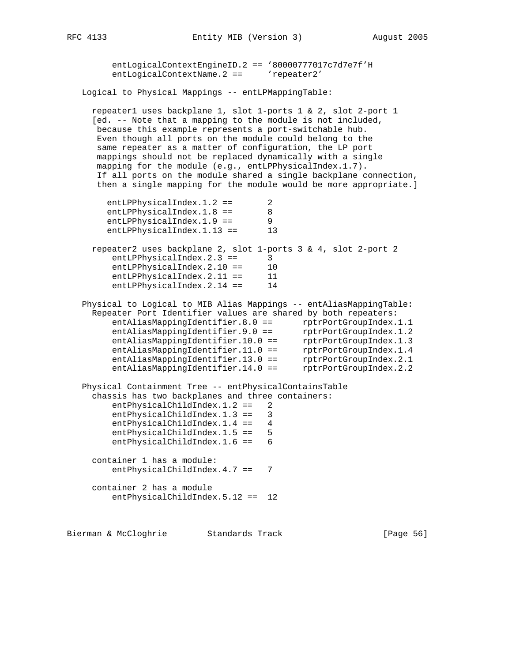entLogicalContextEngineID.2 == '80000777017c7d7e7f'H entLogicalContextName.2 == 'repeater2' Logical to Physical Mappings -- entLPMappingTable: repeater1 uses backplane 1, slot 1-ports 1 & 2, slot 2-port 1 [ed. -- Note that a mapping to the module is not included, because this example represents a port-switchable hub. Even though all ports on the module could belong to the same repeater as a matter of configuration, the LP port mappings should not be replaced dynamically with a single mapping for the module (e.g., entLPPhysicalIndex.1.7). If all ports on the module shared a single backplane connection, then a single mapping for the module would be more appropriate.] entLPPhysicalIndex.1.2 == 2 entLPPhysicalIndex.1.8 == 8 entLPPhysicalIndex.1.9 == 9 entLPPhysicalIndex.1.13 == 13 repeater2 uses backplane 2, slot 1-ports 3 & 4, slot 2-port 2 entLPPhysicalIndex.2.3 == 3 entLPPhysicalIndex.2.10 == 10 entLPPhysicalIndex.2.11 == 11 entLPPhysicalIndex.2.14 == 14 Physical to Logical to MIB Alias Mappings -- entAliasMappingTable: Repeater Port Identifier values are shared by both repeaters: entAliasMappingIdentifier.8.0 == rptrPortGroupIndex.1.1 entAliasMappingIdentifier.9.0 == rptrPortGroupIndex.1.2 entAliasMappingIdentifier.10.0 == rptrPortGroupIndex.1.3 entAliasMappingIdentifier.11.0 == rptrPortGroupIndex.1.4 entAliasMappingIdentifier.13.0 == rptrPortGroupIndex.2.1 entAliasMappingIdentifier.14.0 == rptrPortGroupIndex.2.2 Physical Containment Tree -- entPhysicalContainsTable chassis has two backplanes and three containers: entPhysicalChildIndex.1.2 == 2 entPhysicalChildIndex.1.3 == 3 entPhysicalChildIndex.1.4 == 4 entPhysicalChildIndex.1.5 == 5 entPhysicalChildIndex.1.6 == 6 container 1 has a module: entPhysicalChildIndex.4.7 == 7 container 2 has a module entPhysicalChildIndex.5.12 == 12

Bierman & McCloghrie Standards Track [Page 56]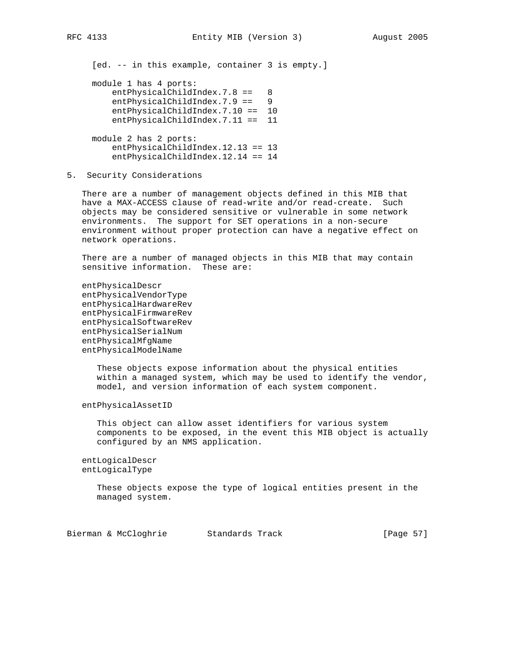[ed. -- in this example, container 3 is empty.]

 module 1 has 4 ports: entPhysicalChildIndex.7.8 == 8 entPhysicalChildIndex.7.9 == 9 entPhysicalChildIndex.7.10 == 10 entPhysicalChildIndex.7.11 == 11 module 2 has 2 ports: entPhysicalChildIndex.12.13 == 13 entPhysicalChildIndex.12.14 == 14

5. Security Considerations

 There are a number of management objects defined in this MIB that have a MAX-ACCESS clause of read-write and/or read-create. Such objects may be considered sensitive or vulnerable in some network environments. The support for SET operations in a non-secure environment without proper protection can have a negative effect on network operations.

 There are a number of managed objects in this MIB that may contain sensitive information. These are:

 entPhysicalDescr entPhysicalVendorType entPhysicalHardwareRev entPhysicalFirmwareRev entPhysicalSoftwareRev entPhysicalSerialNum entPhysicalMfgName entPhysicalModelName

> These objects expose information about the physical entities within a managed system, which may be used to identify the vendor, model, and version information of each system component.

entPhysicalAssetID

 This object can allow asset identifiers for various system components to be exposed, in the event this MIB object is actually configured by an NMS application.

 entLogicalDescr entLogicalType

> These objects expose the type of logical entities present in the managed system.

Bierman & McCloghrie Standards Track [Page 57]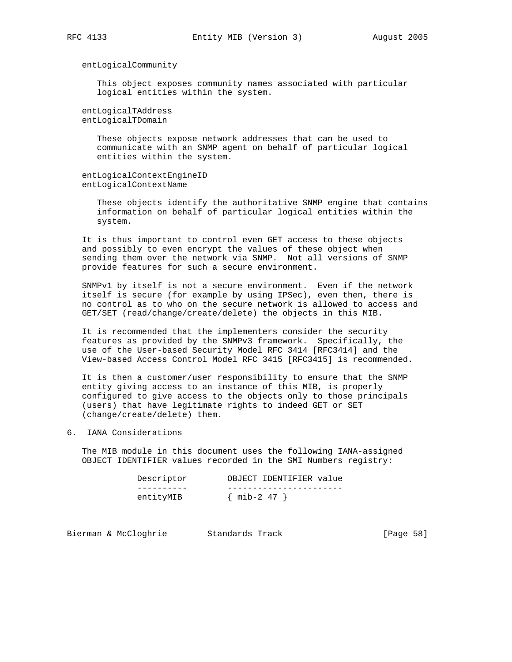entLogicalCommunity

 This object exposes community names associated with particular logical entities within the system.

 entLogicalTAddress entLogicalTDomain

> These objects expose network addresses that can be used to communicate with an SNMP agent on behalf of particular logical entities within the system.

 entLogicalContextEngineID entLogicalContextName

> These objects identify the authoritative SNMP engine that contains information on behalf of particular logical entities within the system.

 It is thus important to control even GET access to these objects and possibly to even encrypt the values of these object when sending them over the network via SNMP. Not all versions of SNMP provide features for such a secure environment.

 SNMPv1 by itself is not a secure environment. Even if the network itself is secure (for example by using IPSec), even then, there is no control as to who on the secure network is allowed to access and GET/SET (read/change/create/delete) the objects in this MIB.

 It is recommended that the implementers consider the security features as provided by the SNMPv3 framework. Specifically, the use of the User-based Security Model RFC 3414 [RFC3414] and the View-based Access Control Model RFC 3415 [RFC3415] is recommended.

 It is then a customer/user responsibility to ensure that the SNMP entity giving access to an instance of this MIB, is properly configured to give access to the objects only to those principals (users) that have legitimate rights to indeed GET or SET (change/create/delete) them.

6. IANA Considerations

 The MIB module in this document uses the following IANA-assigned OBJECT IDENTIFIER values recorded in the SMI Numbers registry:

| Descriptor | OBJECT IDENTIFIER value |
|------------|-------------------------|
|            |                         |
| entityMIB  | $\{$ mib-2 47 $\}$      |

Bierman & McCloghrie Standards Track [Page 58]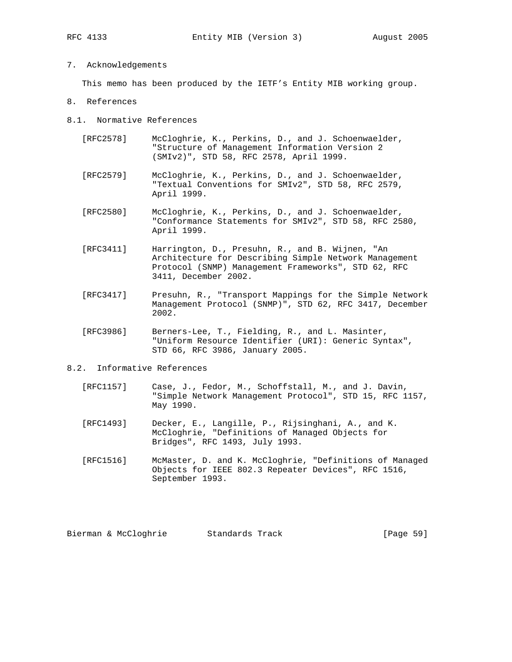# 7. Acknowledgements

This memo has been produced by the IETF's Entity MIB working group.

- 8. References
- 8.1. Normative References
	- [RFC2578] McCloghrie, K., Perkins, D., and J. Schoenwaelder, "Structure of Management Information Version 2 (SMIv2)", STD 58, RFC 2578, April 1999.
	- [RFC2579] McCloghrie, K., Perkins, D., and J. Schoenwaelder, "Textual Conventions for SMIv2", STD 58, RFC 2579, April 1999.
	- [RFC2580] McCloghrie, K., Perkins, D., and J. Schoenwaelder, "Conformance Statements for SMIv2", STD 58, RFC 2580, April 1999.
	- [RFC3411] Harrington, D., Presuhn, R., and B. Wijnen, "An Architecture for Describing Simple Network Management Protocol (SNMP) Management Frameworks", STD 62, RFC 3411, December 2002.
	- [RFC3417] Presuhn, R., "Transport Mappings for the Simple Network Management Protocol (SNMP)", STD 62, RFC 3417, December 2002.
	- [RFC3986] Berners-Lee, T., Fielding, R., and L. Masinter, "Uniform Resource Identifier (URI): Generic Syntax", STD 66, RFC 3986, January 2005.
- 8.2. Informative References
	- [RFC1157] Case, J., Fedor, M., Schoffstall, M., and J. Davin, "Simple Network Management Protocol", STD 15, RFC 1157, May 1990.
	- [RFC1493] Decker, E., Langille, P., Rijsinghani, A., and K. McCloghrie, "Definitions of Managed Objects for Bridges", RFC 1493, July 1993.
	- [RFC1516] McMaster, D. and K. McCloghrie, "Definitions of Managed Objects for IEEE 802.3 Repeater Devices", RFC 1516, September 1993.

Bierman & McCloghrie Standards Track [Page 59]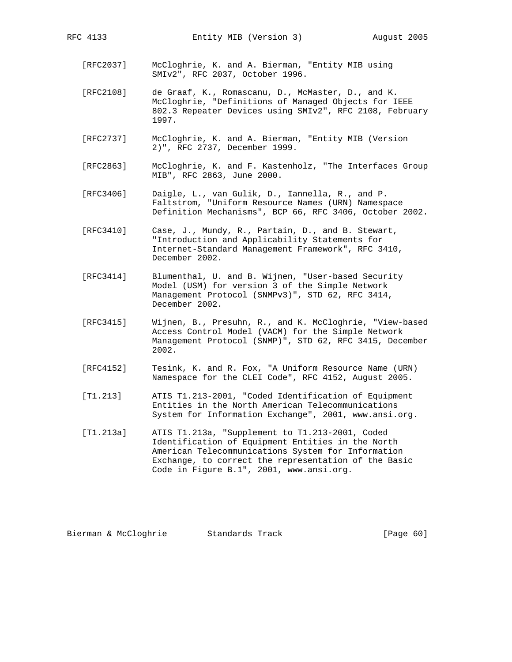- - [RFC2037] McCloghrie, K. and A. Bierman, "Entity MIB using SMIv2", RFC 2037, October 1996.
	- [RFC2108] de Graaf, K., Romascanu, D., McMaster, D., and K. McCloghrie, "Definitions of Managed Objects for IEEE 802.3 Repeater Devices using SMIv2", RFC 2108, February 1997.
	- [RFC2737] McCloghrie, K. and A. Bierman, "Entity MIB (Version 2)", RFC 2737, December 1999.
	- [RFC2863] McCloghrie, K. and F. Kastenholz, "The Interfaces Group MIB", RFC 2863, June 2000.
	- [RFC3406] Daigle, L., van Gulik, D., Iannella, R., and P. Faltstrom, "Uniform Resource Names (URN) Namespace Definition Mechanisms", BCP 66, RFC 3406, October 2002.
	- [RFC3410] Case, J., Mundy, R., Partain, D., and B. Stewart, "Introduction and Applicability Statements for Internet-Standard Management Framework", RFC 3410, December 2002.
	- [RFC3414] Blumenthal, U. and B. Wijnen, "User-based Security Model (USM) for version 3 of the Simple Network Management Protocol (SNMPv3)", STD 62, RFC 3414, December 2002.
	- [RFC3415] Wijnen, B., Presuhn, R., and K. McCloghrie, "View-based Access Control Model (VACM) for the Simple Network Management Protocol (SNMP)", STD 62, RFC 3415, December 2002.
	- [RFC4152] Tesink, K. and R. Fox, "A Uniform Resource Name (URN) Namespace for the CLEI Code", RFC 4152, August 2005.
	- [T1.213] ATIS T1.213-2001, "Coded Identification of Equipment Entities in the North American Telecommunications System for Information Exchange", 2001, www.ansi.org.
	- [T1.213a] ATIS T1.213a, "Supplement to T1.213-2001, Coded Identification of Equipment Entities in the North American Telecommunications System for Information Exchange, to correct the representation of the Basic Code in Figure B.1", 2001, www.ansi.org.

Bierman & McCloghrie Standards Track [Page 60]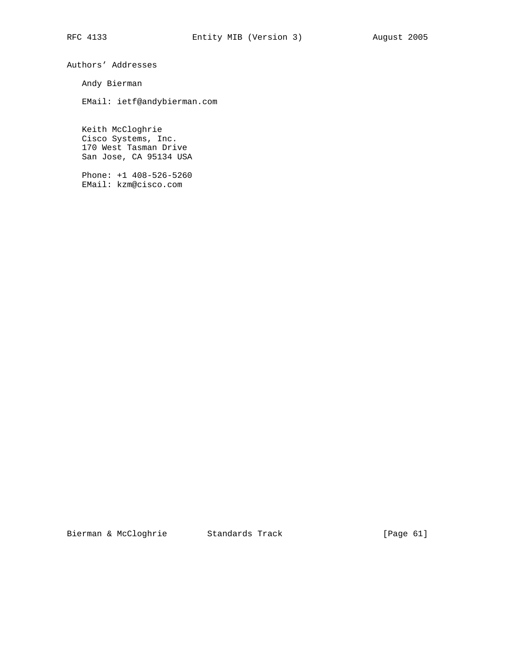Authors' Addresses

Andy Bierman

EMail: ietf@andybierman.com

 Keith McCloghrie Cisco Systems, Inc. 170 West Tasman Drive San Jose, CA 95134 USA

 Phone: +1 408-526-5260 EMail: kzm@cisco.com